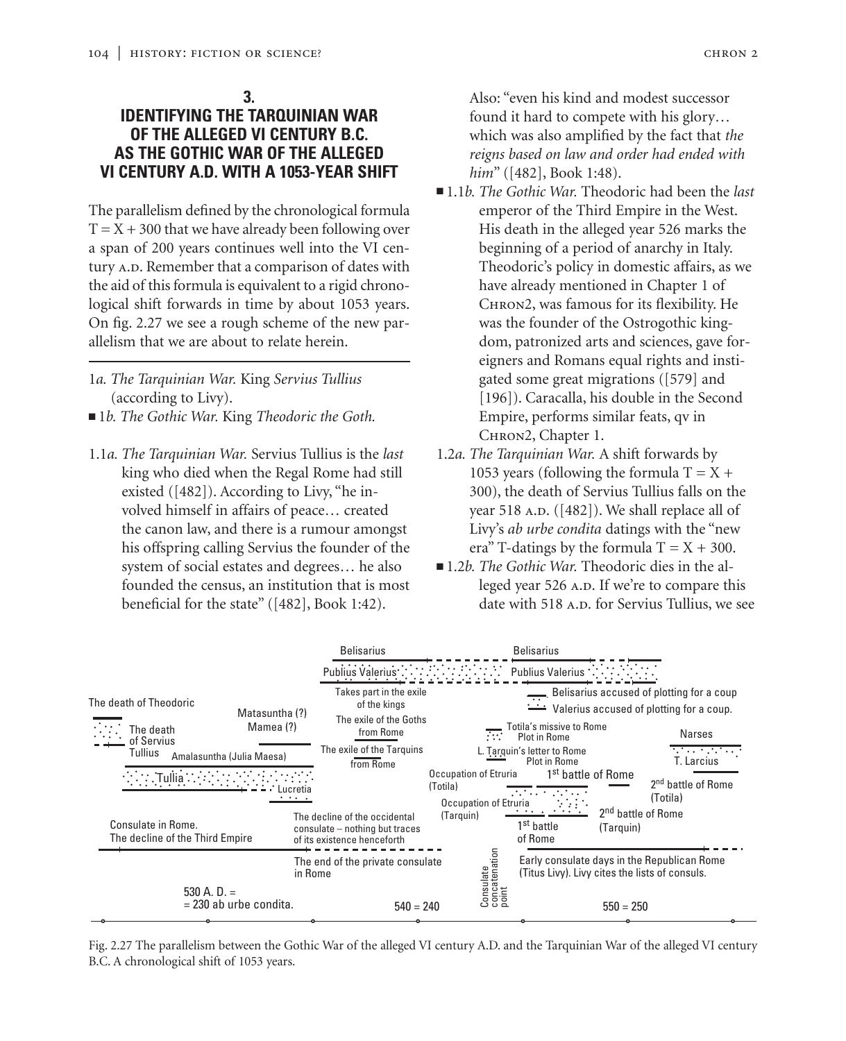## **3. IDENTIFYING THE TARQUINIAN WAR OF THE ALLEGED VI CENTURY B.C. AS THE GOTHIC WAR OF THE ALLEGED VI CENTURY A.D. WITH A 1053-YEAR SHIFT**

The parallelism defined by the chronological formula  $T = X + 300$  that we have already been following over a span of 200 years continues well into the VI century A.D. Remember that a comparison of dates with the aid of this formula is equivalent to a rigid chronological shift forwards in time by about 1053 years. On fig. 2.27 we see a rough scheme of the new parallelism that we are about to relate herein.

- 1*a. The Tarquinian War.* King *Servius Tullius* (according to Livy).
- 1*b. The Gothic War.* King *Theodoric the Goth.*
- 1.1*a. The Tarquinian War.* Servius Tullius is the *last* king who died when the Regal Rome had still existed ([482]). According to Livy, "he involved himself in affairs of peace… created the canon law, and there is a rumour amongst his offspring calling Servius the founder of the system of social estates and degrees… he also founded the census, an institution that is most beneficial for the state" ([482], Book 1:42).

Also: "even his kind and modest successor found it hard to compete with his glory… which was also amplified by the fact that *the reigns based on law and order had ended with him*" ([482], Book 1:48).

- 1.1*b. The Gothic War*. Theodoric had been the *last* emperor of the Third Empire in the West. His death in the alleged year 526 marks the beginning of a period of anarchy in Italy. Theodoric's policy in domestic affairs, as we have already mentioned in Chapter 1 of CHRON2, was famous for its flexibility. He was the founder of the Ostrogothic kingdom, patronized arts and sciences, gave foreigners and Romans equal rights and instigated some great migrations ([579] and [196]). Caracalla, his double in the Second Empire, performs similar feats, qv in Chron2, Chapter 1.
- 1.2*a. The Tarquinian War.* A shift forwards by 1053 years (following the formula  $T = X +$ 300), the death of Servius Tullius falls on the year 518 A.D.  $([482])$ . We shall replace all of Livy's *ab urbe condita* datings with the "new era" T-datings by the formula  $T = X + 300$ .
- 1.2*b. The Gothic War*. Theodoric dies in the alleged year 526 A.D. If we're to compare this date with 518 A.D. for Servius Tullius, we see



Fig. 2.27 The parallelism between the Gothic War of the alleged VI century A.D. and the Tarquinian War of the alleged VI century B.C. A chronological shift of 1053 years.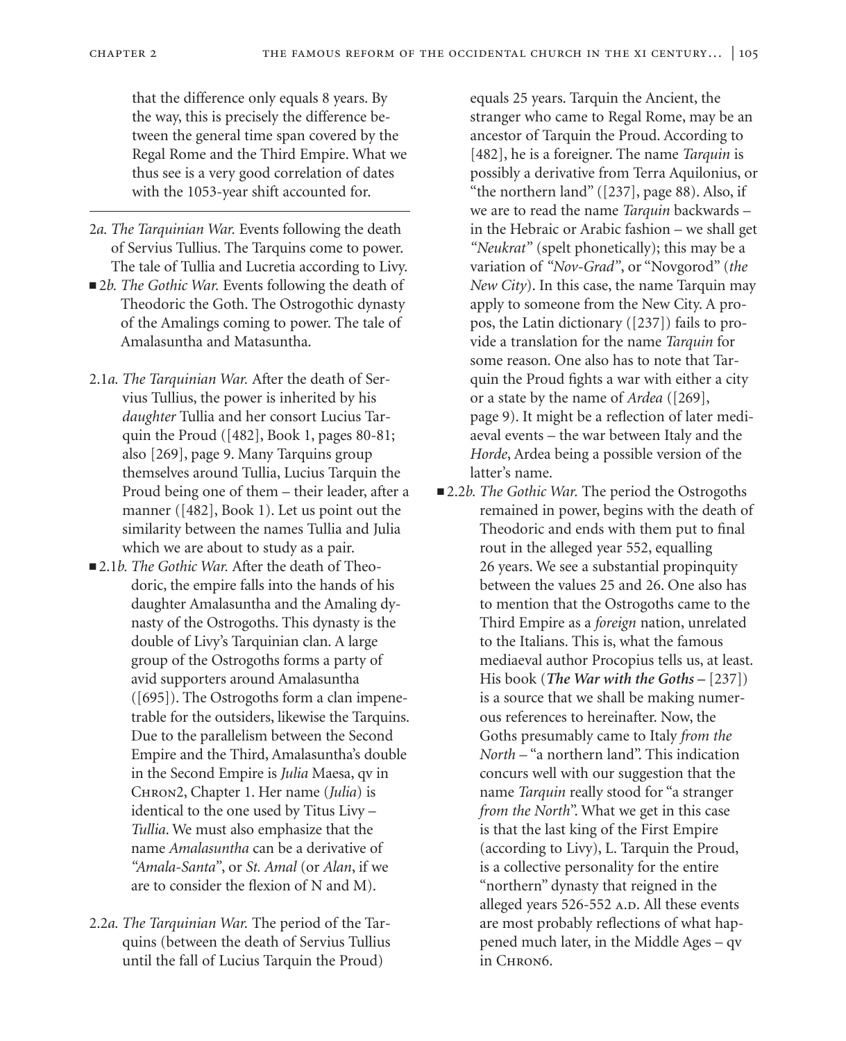that the difference only equals 8 years. By the way, this is precisely the difference between the general time span covered by the Regal Rome and the Third Empire. What we thus see is a very good correlation of dates with the 1053-year shift accounted for.

- 2*a. The Tarquinian War.* Events following the death of Servius Tullius. The Tarquins come to power. The tale of Tullia and Lucretia according to Livy.
- 2*b. The Gothic War*. Events following the death of Theodoric the Goth. The Ostrogothic dynasty of the Amalings coming to power. The tale of Amalasuntha and Matasuntha.
- 2.1*a. The Tarquinian War.* After the death of Servius Tullius, the power is inherited by his *daughter* Tullia and her consort Lucius Tarquin the Proud ([482], Book 1, pages 80-81; also [269], page 9. Many Tarquins group themselves around Tullia, Lucius Tarquin the Proud being one of them – their leader, after a manner ([482], Book 1). Let us point out the similarity between the names Tullia and Julia which we are about to study as a pair.
- 2.1*b. The Gothic War*. After the death of Theodoric, the empire falls into the hands of his daughter Amalasuntha and the Amaling dynasty of the Ostrogoths. This dynasty is the double of Livy's Tarquinian clan. A large group of the Ostrogoths forms a party of avid supporters around Amalasuntha ([695]). The Ostrogoths form a clan impenetrable for the outsiders, likewise the Tarquins. Due to the parallelism between the Second Empire and the Third, Amalasuntha's double in the Second Empire is *Julia* Maesa, qv in Chron2, Chapter 1. Her name (*Julia*) is identical to the one used by Titus Livy – *Tullia*. We must also emphasize that the name *Amalasuntha* can be a derivative of *"Amala-Santa"*, or *St. Amal* (or *Alan*, if we are to consider the flexion of N and M).
- 2.2*a. The Tarquinian War.* The period of the Tarquins (between the death of Servius Tullius until the fall of Lucius Tarquin the Proud)

equals 25 years. Tarquin the Ancient, the stranger who came to Regal Rome, may be an ancestor of Tarquin the Proud. According to [482], he is a foreigner. The name *Tarquin* is possibly a derivative from Terra Aquilonius, or "the northern land" ([237], page 88). Also, if we are to read the name *Tarquin* backwards – in the Hebraic or Arabic fashion – we shall get *"Neukrat"* (spelt phonetically); this may be a variation of *"Nov-Grad"*, or "Novgorod" (*the New City*). In this case, the name Tarquin may apply to someone from the New City. A propos, the Latin dictionary ([237]) fails to provide a translation for the name *Tarquin* for some reason. One also has to note that Tarquin the Proud fights a war with either a city or a state by the name of *Ardea* ([269], page 9). It might be a reflection of later mediaeval events – the war between Italy and the *Horde*, Ardea being a possible version of the latter's name.

■ 2.2*b. The Gothic War*. The period the Ostrogoths remained in power, begins with the death of Theodoric and ends with them put to final rout in the alleged year 552, equalling 26 years. We see a substantial propinquity between the values 25 and 26. One also has to mention that the Ostrogoths came to the Third Empire as a *foreign* nation, unrelated to the Italians. This is, what the famous mediaeval author Procopius tells us, at least. His book (*The War with the Goths –* [237]) is a source that we shall be making numerous references to hereinafter. Now, the Goths presumably came to Italy *from the North* – "a northern land". This indication concurs well with our suggestion that the name *Tarquin* really stood for "a stranger *from the North*". What we get in this case is that the last king of the First Empire (according to Livy), L. Tarquin the Proud, is a collective personality for the entire "northern" dynasty that reigned in the alleged years 526-552 A.D. All these events are most probably reflections of what happened much later, in the Middle Ages – qv in Chron6.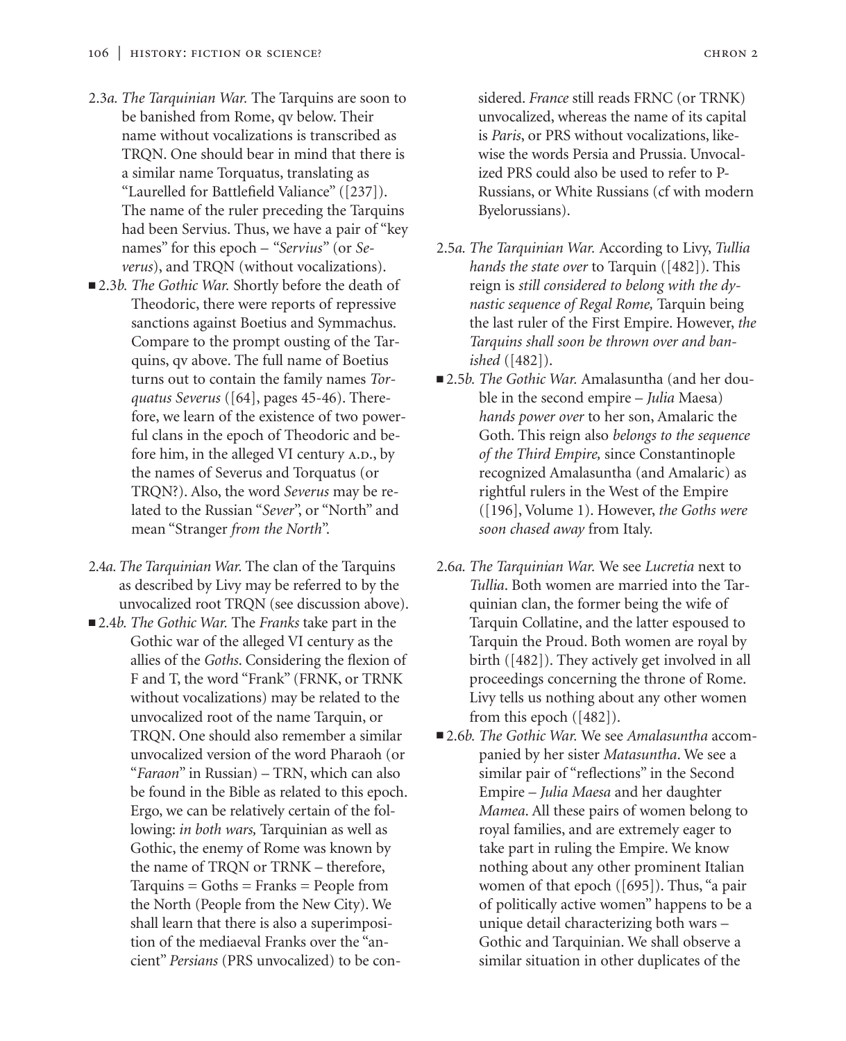- 2.3*a. The Tarquinian War.* The Tarquins are soon to be banished from Rome, qv below. Their name without vocalizations is transcribed as TRQN. One should bear in mind that there is a similar name Torquatus, translating as "Laurelled for Battlefield Valiance" ([237]). The name of the ruler preceding the Tarquins had been Servius. Thus, we have a pair of "key names" for this epoch – *"Servius"* (or *Severus*), and TRQN (without vocalizations).
- 2.3*b. The Gothic War.* Shortly before the death of Theodoric, there were reports of repressive sanctions against Boetius and Symmachus. Compare to the prompt ousting of the Tarquins, qv above. The full name of Boetius turns out to contain the family names *Torquatus Severus* ([64], pages 45-46). Therefore, we learn of the existence of two powerful clans in the epoch of Theodoric and before him, in the alleged VI century A.D., by the names of Severus and Torquatus (or TRQN?). Also, the word *Severus* may be related to the Russian "*Sever*", or "North" and mean "Stranger *from the North*".
- 2.4*a. The Tarquinian War.* The clan of the Tarquins as described by Livy may be referred to by the unvocalized root TRQN (see discussion above).
- 2.4*b. The Gothic War.* The *Franks* take part in the Gothic war of the alleged VI century as the allies of the *Goths*. Considering the flexion of F and T, the word "Frank" (FRNK, or TRNK without vocalizations) may be related to the unvocalized root of the name Tarquin, or TRQN. One should also remember a similar unvocalized version of the word Pharaoh (or "*Faraon*" in Russian) – TRN, which can also be found in the Bible as related to this epoch. Ergo, we can be relatively certain of the following: *in both wars,* Tarquinian as well as Gothic, the enemy of Rome was known by the name of TRQN or TRNK – therefore,  $Tarquins = Goths = Franks = People from$ the North (People from the New City). We shall learn that there is also a superimposition of the mediaeval Franks over the "ancient" *Persians* (PRS unvocalized) to be con-

sidered. *France* still reads FRNC (or TRNK) unvocalized, whereas the name of its capital is *Paris*, or PRS without vocalizations, likewise the words Persia and Prussia. Unvocalized PRS could also be used to refer to P-Russians, or White Russians (cf with modern Byelorussians).

- 2.5*a. The Tarquinian War.* According to Livy, *Tullia hands the state over* to Tarquin ([482]). This reign is *still considered to belong with the dynastic sequence of Regal Rome,* Tarquin being the last ruler of the First Empire. However, *the Tarquins shall soon be thrown over and banished* ([482]).
- 2.5*b. The Gothic War*. Amalasuntha (and her double in the second empire – *Julia* Maesa) *hands power over* to her son, Amalaric the Goth. This reign also *belongs to the sequence of the Third Empire,* since Constantinople recognized Amalasuntha (and Amalaric) as rightful rulers in the West of the Empire ([196], Volume 1). However, *the Goths were soon chased away* from Italy.
- 2.6*a. The Tarquinian War.* We see *Lucretia* next to *Tullia*. Both women are married into the Tarquinian clan, the former being the wife of Tarquin Collatine, and the latter espoused to Tarquin the Proud. Both women are royal by birth ([482]). They actively get involved in all proceedings concerning the throne of Rome. Livy tells us nothing about any other women from this epoch ([482]).
- 2.6*b. The Gothic War.* We see *Amalasuntha* accompanied by her sister *Matasuntha*. We see a similar pair of "reflections" in the Second Empire – *Julia Maesa* and her daughter *Mamea*. All these pairs of women belong to royal families, and are extremely eager to take part in ruling the Empire. We know nothing about any other prominent Italian women of that epoch ([695]). Thus, "a pair of politically active women" happens to be a unique detail characterizing both wars – Gothic and Tarquinian. We shall observe a similar situation in other duplicates of the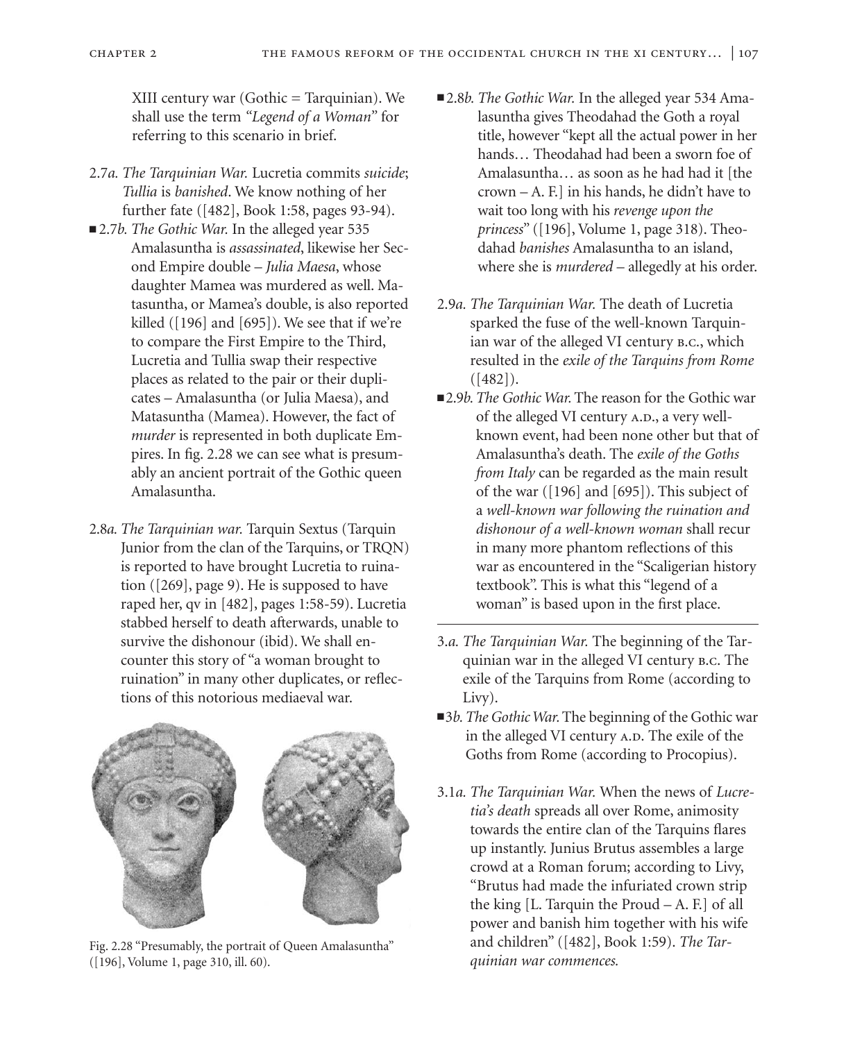XIII century war (Gothic = Tarquinian). We shall use the term *"Legend of a Woman"* for referring to this scenario in brief.

- 2.7*a. The Tarquinian War.* Lucretia commits *suicide*; *Tullia* is *banished*. We know nothing of her further fate ([482], Book 1:58, pages 93-94).
- 2.7*b. The Gothic War*. In the alleged year 535 Amalasuntha is *assassinated*, likewise her Second Empire double – *Julia Maesa*, whose daughter Mamea was murdered as well. Matasuntha, or Mamea's double, is also reported killed ([196] and [695]). We see that if we're to compare the First Empire to the Third, Lucretia and Tullia swap their respective places as related to the pair or their duplicates – Amalasuntha (or Julia Maesa), and Matasuntha (Mamea). However, the fact of *murder* is represented in both duplicate Empires. In fig. 2.28 we can see what is presumably an ancient portrait of the Gothic queen Amalasuntha.
- 2.8*a. The Tarquinian war.* Tarquin Sextus (Tarquin Junior from the clan of the Tarquins, or TRQN) is reported to have brought Lucretia to ruination ([269], page 9). He is supposed to have raped her, qv in [482], pages 1:58-59). Lucretia stabbed herself to death afterwards, unable to survive the dishonour (ibid). We shall encounter this story of "a woman brought to ruination" in many other duplicates, or reflections of this notorious mediaeval war.



Fig. 2.28 "Presumably, the portrait of Queen Amalasuntha" ([196], Volume 1, page 310, ill. 60).

- 2.8*b. The Gothic War*. In the alleged year 534 Amalasuntha gives Theodahad the Goth a royal title, however "kept all the actual power in her hands… Theodahad had been a sworn foe of Amalasuntha… as soon as he had had it [the crown – A. F.] in his hands, he didn't have to wait too long with his *revenge upon the princess*" ([196], Volume 1, page 318). Theodahad *banishes* Amalasuntha to an island, where she is *murdered* – allegedly at his order.
- 2.9*a. The Tarquinian War.* The death of Lucretia sparked the fuse of the well-known Tarquinian war of the alleged VI century b.c., which resulted in the *exile of the Tarquins from Rome* ([482]).
- 2.9*b. The Gothic War*. The reason for the Gothic war of the alleged VI century A.D., a very wellknown event, had been none other but that of Amalasuntha's death. The *exile of the Goths from Italy* can be regarded as the main result of the war ([196] and [695]). This subject of a *well-known war following the ruination and dishonour of a well-known woman* shall recur in many more phantom reflections of this war as encountered in the "Scaligerian history textbook". This is what this "legend of a woman" is based upon in the first place.
- 3.*a. The Tarquinian War.* The beginning of the Tarquinian war in the alleged VI century b.c. The exile of the Tarquins from Rome (according to Livy).
- 3*b. The Gothic War*. The beginning of the Gothic war in the alleged VI century A.D. The exile of the Goths from Rome (according to Procopius).
- 3.1*a. The Tarquinian War.* When the news of *Lucretia's death* spreads all over Rome, animosity towards the entire clan of the Tarquins flares up instantly. Junius Brutus assembles a large crowd at a Roman forum; according to Livy, "Brutus had made the infuriated crown strip the king [L. Tarquin the Proud – A. F.] of all power and banish him together with his wife and children" ([482], Book 1:59). *The Tarquinian war commences.*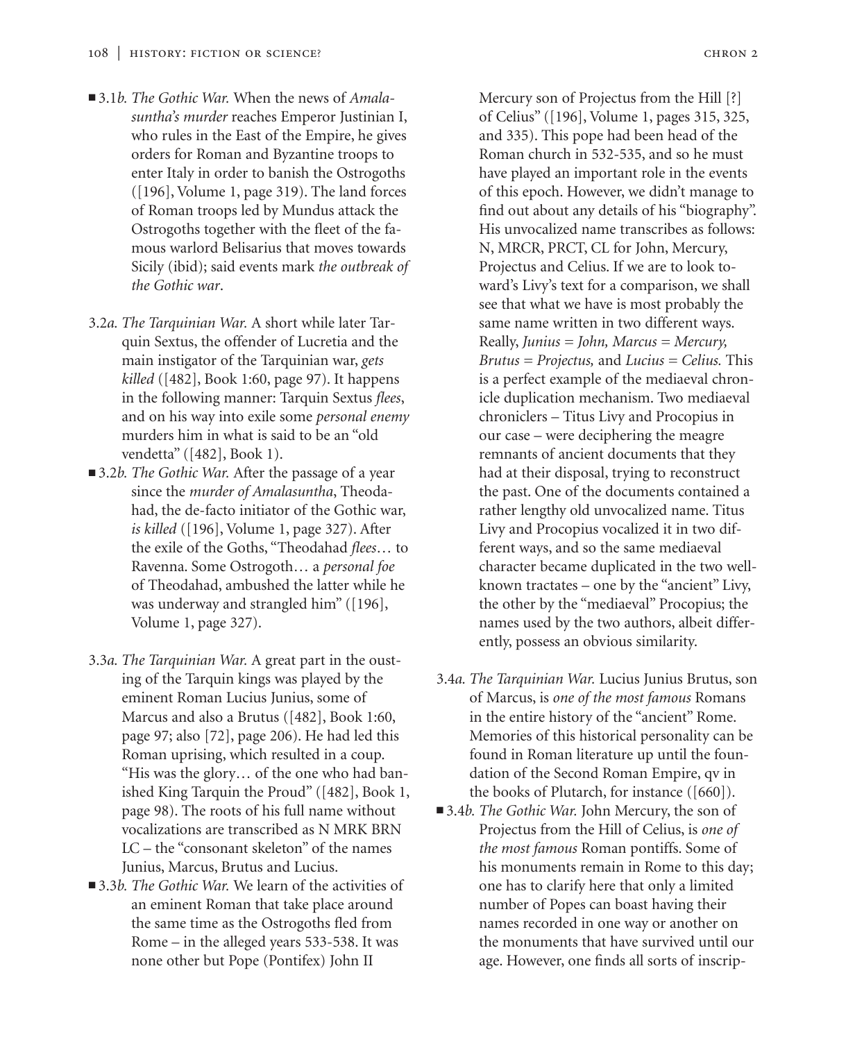- 3.1*b. The Gothic War*. When the news of *Amala suntha's murder* reaches Emperor Justinian I, who rules in the East of the Empire, he gives orders for Roman and Byzantine troops to enter Italy in order to banish the Ostrogoths ([196], Volume 1, page 319). The land forces of Roman troops led by Mundus attack the Ostrogoths together with the fleet of the famous warlord Belisarius that moves towards Sicily (ibid); said events mark *the outbreak of the Gothic war*.
- 3.2*a. The Tarquinian War.* A short while later Tarquin Sextus, the offender of Lucretia and the main instigator of the Tarquinian war, *gets killed* ([482], Book 1:60, page 97). It happens in the following manner: Tarquin Sextus *flees*, and on his way into exile some *personal enemy* murders him in what is said to be an "old vendetta" ([482], Book 1).
- 3.2*b. The Gothic War.* After the passage of a year since the *murder of Amalasuntha*, Theodahad, the de-facto initiator of the Gothic war, *is killed* ([196], Volume 1, page 327). After the exile of the Goths, "Theodahad *flees*… to Ravenna. Some Ostrogoth… a *personal foe* of Theodahad, ambushed the latter while he was underway and strangled him" ([196], Volume 1, page 327).
- 3.3*a. The Tarquinian War.* A great part in the ousting of the Tarquin kings was played by the eminent Roman Lucius Junius, some of Marcus and also a Brutus ([482], Book 1:60, page 97; also [72], page 206). He had led this Roman uprising, which resulted in a coup. "His was the glory… of the one who had banished King Tarquin the Proud" ([482], Book 1, page 98). The roots of his full name without vocalizations are transcribed as N MRK BRN LC – the "consonant skeleton" of the names Junius, Marcus, Brutus and Lucius.
- 3.3*b. The Gothic War.* We learn of the activities of an eminent Roman that take place around the same time as the Ostrogoths fled from Rome – in the alleged years 533-538. It was none other but Pope (Pontifex) John II

Mercury son of Projectus from the Hill [?] of Celius" ([196], Volume 1, pages 315, 325, and 335). This pope had been head of the Roman church in 532-535, and so he must have played an important role in the events of this epoch. However, we didn't manage to find out about any details of his "biography". His unvocalized name transcribes as follows: N, MRCR, PRCT, CL for John, Mercury, Projectus and Celius. If we are to look toward's Livy's text for a comparison, we shall see that what we have is most probably the same name written in two different ways. Really, *Junius = John, Marcus = Mercury, Brutus = Projectus,* and *Lucius = Celius.* This is a perfect example of the mediaeval chronicle duplication mechanism. Two mediaeval chroniclers – Titus Livy and Procopius in our case – were deciphering the meagre remnants of ancient documents that they had at their disposal, trying to reconstruct the past. One of the documents contained a rather lengthy old unvocalized name. Titus Livy and Procopius vocalized it in two different ways, and so the same mediaeval character became duplicated in the two wellknown tractates – one by the "ancient" Livy, the other by the "mediaeval" Procopius; the names used by the two authors, albeit differently, possess an obvious similarity.

- 3.4*a. The Tarquinian War.* Lucius Junius Brutus, son of Marcus, is *one of the most famous* Romans in the entire history of the "ancient" Rome. Memories of this historical personality can be found in Roman literature up until the foundation of the Second Roman Empire, qv in the books of Plutarch, for instance ([660]).
- 3.4*b. The Gothic War*. John Mercury, the son of Projectus from the Hill of Celius, is *one of the most famous* Roman pontiffs. Some of his monuments remain in Rome to this day; one has to clarify here that only a limited number of Popes can boast having their names recorded in one way or another on the monuments that have survived until our age. However, one finds all sorts of inscrip-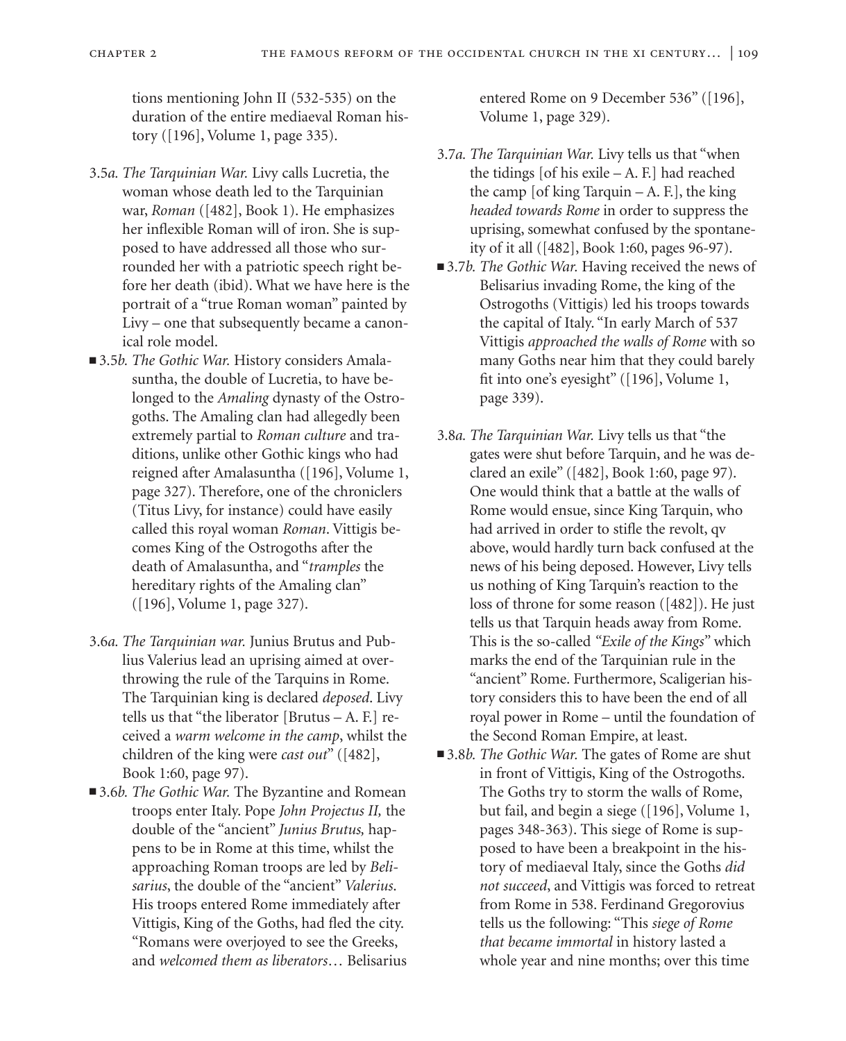tions mentioning John II (532-535) on the duration of the entire mediaeval Roman history ([196], Volume 1, page 335).

- 3.5*a. The Tarquinian War.* Livy calls Lucretia, the woman whose death led to the Tarquinian war, *Roman* ([482], Book 1). He emphasizes her inflexible Roman will of iron. She is supposed to have addressed all those who surrounded her with a patriotic speech right before her death (ibid). What we have here is the portrait of a "true Roman woman" painted by Livy – one that subsequently became a canonical role model.
- 3.5*b. The Gothic War.* History considers Amalasuntha, the double of Lucretia, to have belonged to the *Amaling* dynasty of the Ostrogoths. The Amaling clan had allegedly been extremely partial to *Roman culture* and traditions, unlike other Gothic kings who had reigned after Amalasuntha ([196], Volume 1, page 327). Therefore, one of the chroniclers (Titus Livy, for instance) could have easily called this royal woman *Roman*. Vittigis becomes King of the Ostrogoths after the death of Amalasuntha, and "*tramples* the hereditary rights of the Amaling clan" ([196], Volume 1, page 327).
- 3.6*a. The Tarquinian war.* Junius Brutus and Publius Valerius lead an uprising aimed at overthrowing the rule of the Tarquins in Rome. The Tarquinian king is declared *deposed*. Livy tells us that "the liberator [Brutus – A. F.] received a *warm welcome in the camp*, whilst the children of the king were *cast out*" ([482], Book 1:60, page 97).
- 3.6*b. The Gothic War*. The Byzantine and Romean troops enter Italy. Pope *John Projectus II,* the double of the "ancient" *Junius Brutus,* happens to be in Rome at this time, whilst the approaching Roman troops are led by *Belisarius*, the double of the "ancient" *Valerius*. His troops entered Rome immediately after Vittigis, King of the Goths, had fled the city. "Romans were overjoyed to see the Greeks, and *welcomed them as liberators*… Belisarius

entered Rome on 9 December 536" ([196], Volume 1, page 329).

- 3.7*a. The Tarquinian War.* Livy tells us that "when the tidings [of his exile  $-A$ . F.] had reached the camp [of king Tarquin – A. F.], the king *headed towards Rome* in order to suppress the uprising, somewhat confused by the spontaneity of it all ([482], Book 1:60, pages 96-97).
- 3.7*b. The Gothic War*. Having received the news of Belisarius invading Rome, the king of the Ostrogoths (Vittigis) led his troops towards the capital of Italy. "In early March of 537 Vittigis *approached the walls of Rome* with so many Goths near him that they could barely fit into one's eyesight" ([196], Volume 1, page 339).
- 3.8*a. The Tarquinian War.* Livy tells us that "the gates were shut before Tarquin, and he was declared an exile" ([482], Book 1:60, page 97). One would think that a battle at the walls of Rome would ensue, since King Tarquin, who had arrived in order to stifle the revolt, qv above, would hardly turn back confused at the news of his being deposed. However, Livy tells us nothing of King Tarquin's reaction to the loss of throne for some reason ([482]). He just tells us that Tarquin heads away from Rome. This is the so-called *"Exile of the Kings"* which marks the end of the Tarquinian rule in the "ancient" Rome. Furthermore, Scaligerian history considers this to have been the end of all royal power in Rome – until the foundation of the Second Roman Empire, at least.
- 3.8*b. The Gothic War*. The gates of Rome are shut in front of Vittigis, King of the Ostrogoths. The Goths try to storm the walls of Rome, but fail, and begin a siege ([196], Volume 1, pages 348-363). This siege of Rome is supposed to have been a breakpoint in the history of mediaeval Italy, since the Goths *did not succeed*, and Vittigis was forced to retreat from Rome in 538. Ferdinand Gregorovius tells us the following: "This *siege of Rome that became immortal* in history lasted a whole year and nine months; over this time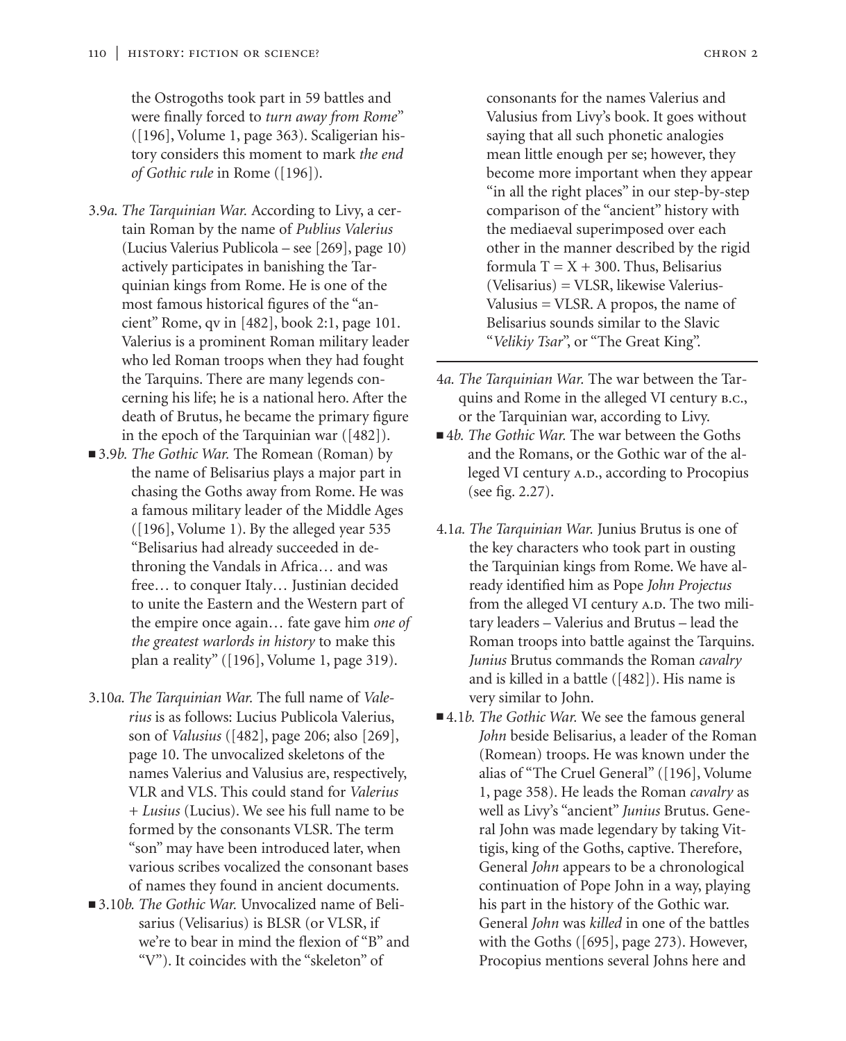the Ostrogoths took part in 59 battles and were finally forced to *turn away from Rome*" ([196], Volume 1, page 363). Scaligerian history considers this moment to mark *the end of Gothic rule* in Rome ([196]).

- 3.9*a. The Tarquinian War.* According to Livy, a certain Roman by the name of *Publius Valerius* (Lucius Valerius Publicola – see [269], page 10) actively participates in banishing the Tarquinian kings from Rome. He is one of the most famous historical figures of the "ancient" Rome, qv in [482], book 2:1, page 101. Valerius is a prominent Roman military leader who led Roman troops when they had fought the Tarquins. There are many legends concerning his life; he is a national hero. After the death of Brutus, he became the primary figure in the epoch of the Tarquinian war ([482]).
- 3.9*b. The Gothic War*. The Romean (Roman) by the name of Belisarius plays a major part in chasing the Goths away from Rome. He was a famous military leader of the Middle Ages ([196], Volume 1). By the alleged year 535 "Belisarius had already succeeded in dethroning the Vandals in Africa… and was free… to conquer Italy… Justinian decided to unite the Eastern and the Western part of the empire once again… fate gave him *one of the greatest warlords in history* to make this plan a reality" ([196], Volume 1, page 319).
- 3.10*a. The Tarquinian War.* The full name of *Valerius* is as follows: Lucius Publicola Valerius, son of *Valusius* ([482], page 206; also [269], page 10. The unvocalized skeletons of the names Valerius and Valusius are, respectively, VLR and VLS. This could stand for *Valerius + Lusius* (Lucius). We see his full name to be formed by the consonants VLSR. The term "son" may have been introduced later, when various scribes vocalized the consonant bases of names they found in ancient documents.
- 3.10*b. The Gothic War*. Unvocalized name of Belisarius (Velisarius) is BLSR (or VLSR, if we're to bear in mind the flexion of "B" and "V"). It coincides with the "skeleton" of

consonants for the names Valerius and Valusius from Livy's book. It goes without saying that all such phonetic analogies mean little enough per se; however, they become more important when they appear "in all the right places" in our step-by-step comparison of the "ancient" history with the mediaeval superimposed over each other in the manner described by the rigid formula  $T = X + 300$ . Thus, Belisarius (Velisarius) = VLSR, likewise Valerius-Valusius = VLSR. A propos, the name of Belisarius sounds similar to the Slavic "*Velikiy Tsar*", or "The Great King".

- 4*a. The Tarquinian War.* The war between the Tarquins and Rome in the alleged VI century b.c., or the Tarquinian war, according to Livy.
- 4*b. The Gothic War*. The war between the Goths and the Romans, or the Gothic war of the alleged VI century A.D., according to Procopius (see fig. 2.27).
- 4.1*a. The Tarquinian War.* Junius Brutus is one of the key characters who took part in ousting the Tarquinian kings from Rome. We have already identified him as Pope *John Projectus* from the alleged VI century A.D. The two military leaders – Valerius and Brutus – lead the Roman troops into battle against the Tarquins. *Junius* Brutus commands the Roman *cavalry* and is killed in a battle ([482]). His name is very similar to John.
- 4.1*b. The Gothic War*. We see the famous general *John* beside Belisarius, a leader of the Roman (Romean) troops. He was known under the alias of "The Cruel General" ([196], Volume 1, page 358). He leads the Roman *cavalry* as well as Livy's "ancient" *Junius* Brutus. General John was made legendary by taking Vittigis, king of the Goths, captive. Therefore, General *John* appears to be a chronological continuation of Pope John in a way, playing his part in the history of the Gothic war. General *John* was *killed* in one of the battles with the Goths ([695], page 273). However, Procopius mentions several Johns here and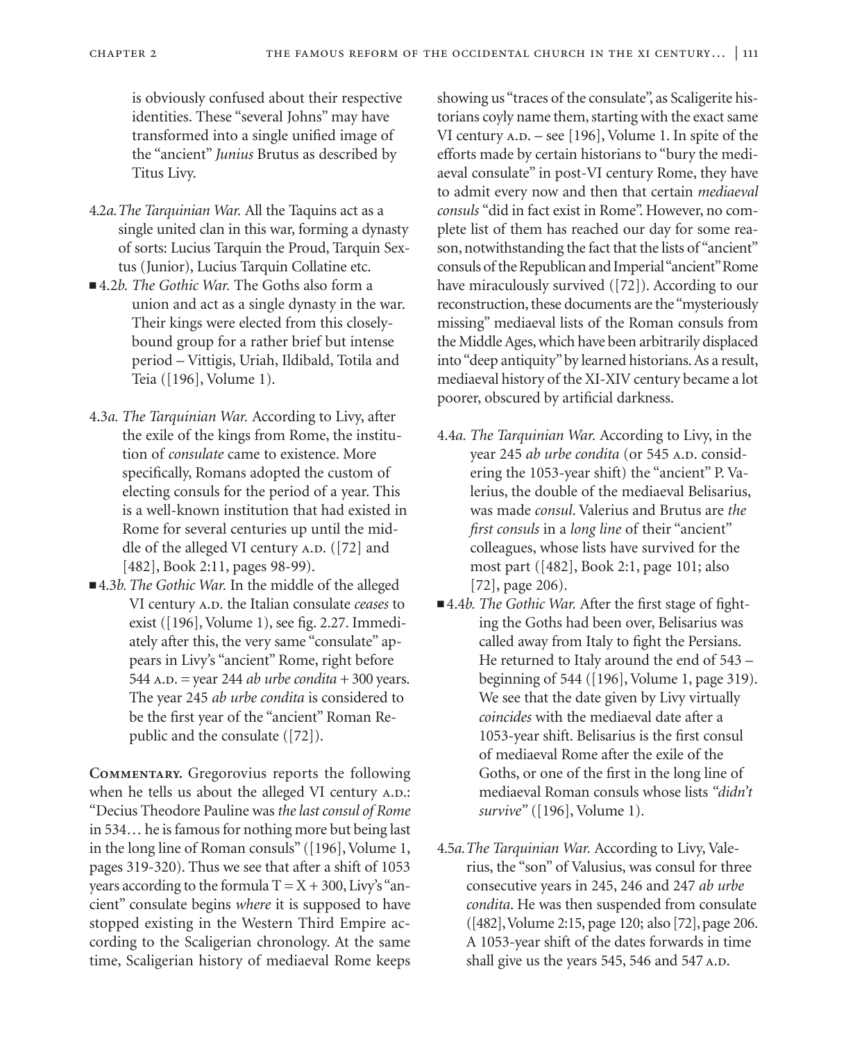is obviously confused about their respective identities. These "several Johns" may have transformed into a single unified image of the "ancient" *Junius* Brutus as described by Titus Livy.

- 4.2*a.The Tarquinian War.* All the Taquins act as a single united clan in this war, forming a dynasty of sorts: Lucius Tarquin the Proud, Tarquin Sextus (Junior), Lucius Tarquin Collatine etc.
- 4.2*b. The Gothic War*. The Goths also form a union and act as a single dynasty in the war. Their kings were elected from this closelybound group for a rather brief but intense period – Vittigis, Uriah, Ildibald, Totila and Teia ([196], Volume 1).
- 4.3*a. The Tarquinian War.* According to Livy, after the exile of the kings from Rome, the institution of *consulate* came to existence. More specifically, Romans adopted the custom of electing consuls for the period of a year. This is a well-known institution that had existed in Rome for several centuries up until the middle of the alleged VI century A.D. ([72] and [482], Book 2:11, pages 98-99).
- 4.3*b. The Gothic War*. In the middle of the alleged VI century A.D. the Italian consulate *ceases* to exist ([196], Volume 1), see fig. 2.27. Immediately after this, the very same "consulate" appears in Livy's "ancient" Rome, right before 544 A.D. = year 244 *ab urbe condita*  $+$  300 years. The year 245 *ab urbe condita* is considered to be the first year of the "ancient" Roman Republic and the consulate ([72]).

**Commentary.** Gregorovius reports the following when he tells us about the alleged VI century A.D.: "Decius Theodore Pauline was *the last consul of Rome* in 534… he is famous for nothing more but being last in the long line of Roman consuls" ([196], Volume 1, pages 319-320). Thus we see that after a shift of 1053 years according to the formula  $T = X + 300$ , Livy's "ancient" consulate begins *where* it is supposed to have stopped existing in the Western Third Empire according to the Scaligerian chronology. At the same time, Scaligerian history of mediaeval Rome keeps showing us "traces of the consulate", as Scaligerite historians coyly name them, starting with the exact same VI century  $A.D. -$  see [196], Volume 1. In spite of the efforts made by certain historians to "bury the mediaeval consulate" in post-VI century Rome, they have to admit every now and then that certain *mediaeval consuls* "did in fact exist in Rome". However, no complete list of them has reached our day for some reason, notwithstanding the fact that the lists of "ancient" consuls of the Republican and Imperial"ancient"Rome have miraculously survived ([72]). According to our reconstruction, these documents are the "mysteriously missing" mediaeval lists of the Roman consuls from the Middle Ages, which have been arbitrarily displaced into "deep antiquity"by learned historians. As a result, mediaeval history of the XI-XIV century became a lot poorer, obscured by artificial darkness.

- 4.4*a. The Tarquinian War.* According to Livy, in the year 245 *ab urbe condita* (or 545 A.D. considering the 1053-year shift) the "ancient" P. Valerius, the double of the mediaeval Belisarius, was made *consul*. Valerius and Brutus are *the first consuls* in a *long line* of their "ancient" colleagues, whose lists have survived for the most part ([482], Book 2:1, page 101; also [72], page 206).
- 4.4*b. The Gothic War*. After the first stage of fighting the Goths had been over, Belisarius was called away from Italy to fight the Persians. He returned to Italy around the end of 543 – beginning of 544 ([196], Volume 1, page 319). We see that the date given by Livy virtually *coincides* with the mediaeval date after a 1053-year shift. Belisarius is the first consul of mediaeval Rome after the exile of the Goths, or one of the first in the long line of mediaeval Roman consuls whose lists *"didn't survive"* ([196], Volume 1).
- 4.5*a.The Tarquinian War.* According to Livy, Valerius, the "son" of Valusius, was consul for three consecutive years in 245, 246 and 247 *ab urbe condita*. He was then suspended from consulate ([482],Volume 2:15, page 120; also[72], page 206. A 1053-year shift of the dates forwards in time shall give us the years 545, 546 and 547 A.D.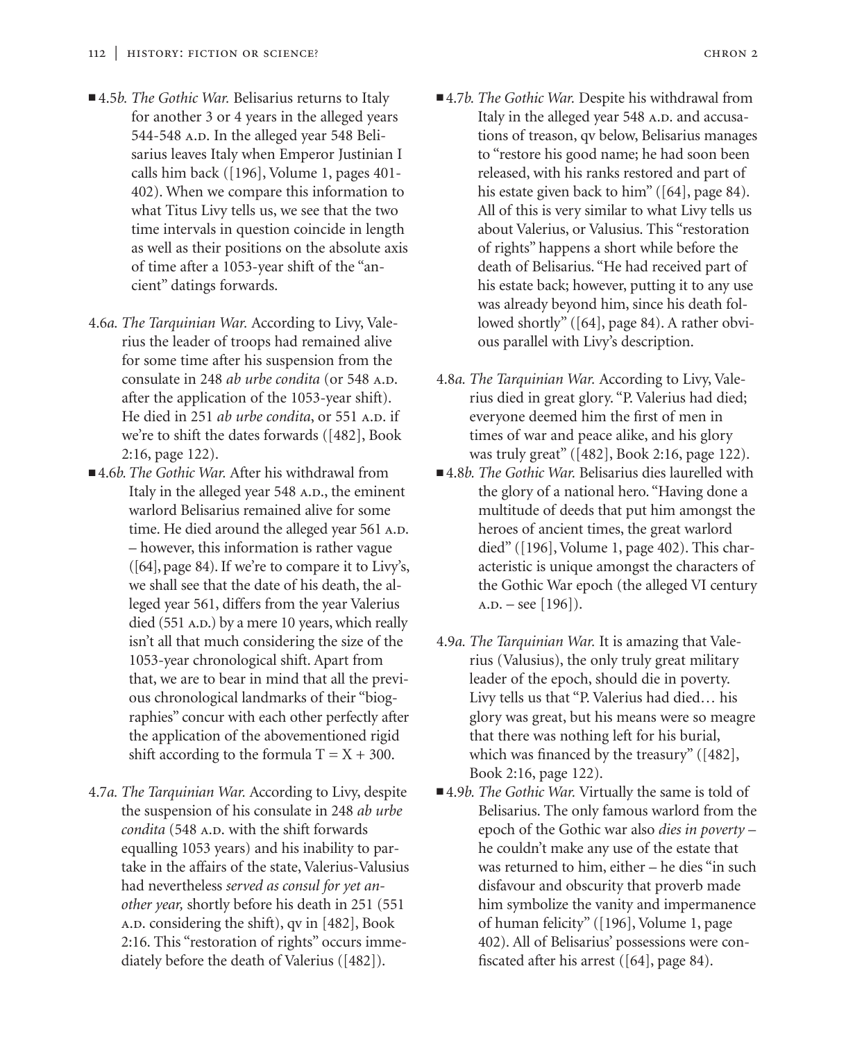- 4.5*b. The Gothic War.* Belisarius returns to Italy for another 3 or 4 years in the alleged years 544-548 A.D. In the alleged year 548 Belisarius leaves Italy when Emperor Justinian I calls him back ([196], Volume 1, pages 401- 402). When we compare this information to what Titus Livy tells us, we see that the two time intervals in question coincide in length as well as their positions on the absolute axis of time after a 1053-year shift of the "ancient" datings forwards.
- 4.6*a. The Tarquinian War.* According to Livy, Valerius the leader of troops had remained alive for some time after his suspension from the consulate in 248 *ab urbe condita* (or 548 A.D. after the application of the 1053-year shift). He died in 251 *ab urbe condita*, or 551 A.D. if we're to shift the dates forwards ([482], Book 2:16, page 122).
- 4.6*b. The Gothic War*. After his withdrawal from Italy in the alleged year 548 A.D., the eminent warlord Belisarius remained alive for some time. He died around the alleged year 561 A.D. – however, this information is rather vague ([64], page 84). If we're to compare it to Livy's, we shall see that the date of his death, the alleged year 561, differs from the year Valerius died  $(551$  A.D.) by a mere 10 years, which really isn't all that much considering the size of the 1053-year chronological shift. Apart from that, we are to bear in mind that all the previous chronological landmarks of their "biographies" concur with each other perfectly after the application of the abovementioned rigid shift according to the formula  $T = X + 300$ .
- 4.7*a. The Tarquinian War.* According to Livy, despite the suspension of his consulate in 248 *ab urbe condita* (548 A.D. with the shift forwards equalling 1053 years) and his inability to partake in the affairs of the state, Valerius-Valusius had nevertheless *served as consul for yet another year,* shortly before his death in 251 (551 a.d. considering the shift), qv in [482], Book 2:16. This "restoration of rights" occurs immediately before the death of Valerius ([482]).
- 4.7*b. The Gothic War*. Despite his withdrawal from Italy in the alleged year 548 A.D. and accusations of treason, qv below, Belisarius manages to "restore his good name; he had soon been released, with his ranks restored and part of his estate given back to him" ([64], page 84). All of this is very similar to what Livy tells us about Valerius, or Valusius. This "restoration of rights" happens a short while before the death of Belisarius. "He had received part of his estate back; however, putting it to any use was already beyond him, since his death followed shortly" ([64], page 84). A rather obvious parallel with Livy's description.
- 4.8*a. The Tarquinian War.* According to Livy, Valerius died in great glory. "P. Valerius had died; everyone deemed him the first of men in times of war and peace alike, and his glory was truly great" ([482], Book 2:16, page 122).
- 4.8*b. The Gothic War.* Belisarius dies laurelled with the glory of a national hero. "Having done a multitude of deeds that put him amongst the heroes of ancient times, the great warlord died" ([196], Volume 1, page 402). This characteristic is unique amongst the characters of the Gothic War epoch (the alleged VI century  $A.D. - see [196]$ .
- 4.9*a. The Tarquinian War.* It is amazing that Valerius (Valusius), the only truly great military leader of the epoch, should die in poverty. Livy tells us that "P. Valerius had died… his glory was great, but his means were so meagre that there was nothing left for his burial, which was financed by the treasury" ([482], Book 2:16, page 122).
- 4.9*b. The Gothic War*. Virtually the same is told of Belisarius. The only famous warlord from the epoch of the Gothic war also *dies in poverty* – he couldn't make any use of the estate that was returned to him, either – he dies "in such disfavour and obscurity that proverb made him symbolize the vanity and impermanence of human felicity" ([196], Volume 1, page 402). All of Belisarius' possessions were confiscated after his arrest ([64], page 84).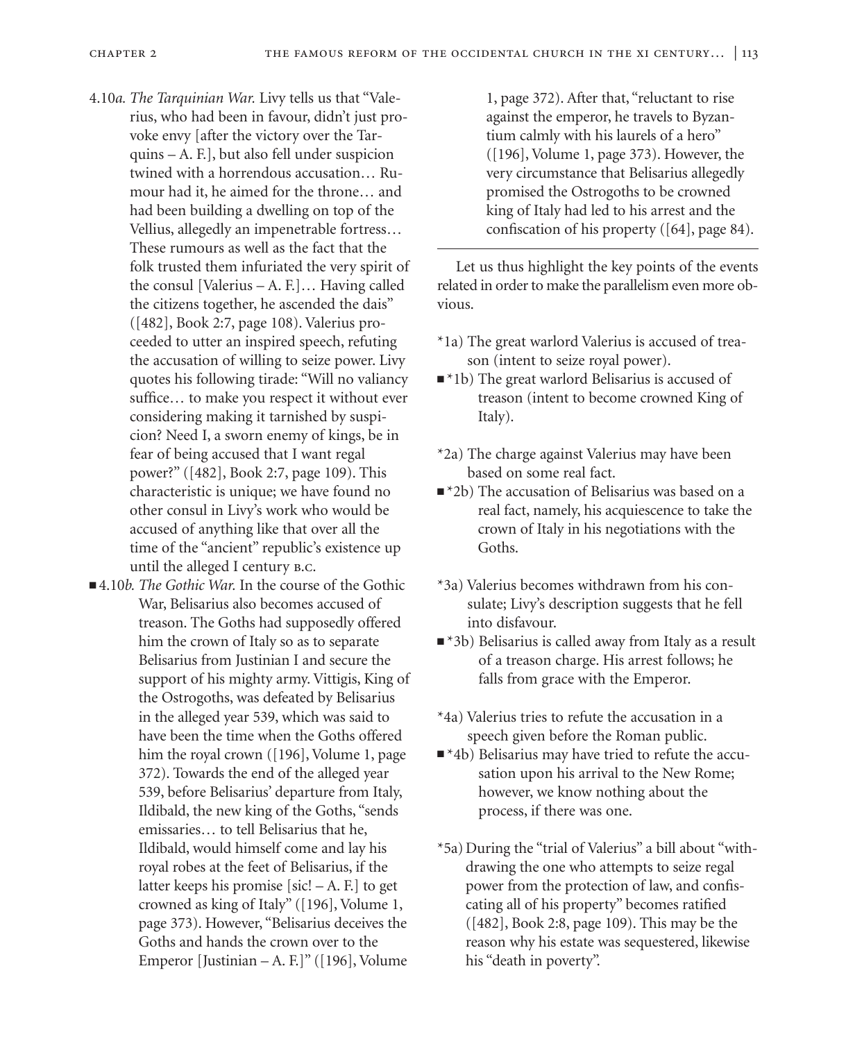- 4.10*a. The Tarquinian War.* Livy tells us that "Valerius, who had been in favour, didn't just provoke envy [after the victory over the Tarquins – A. F.], but also fell under suspicion twined with a horrendous accusation… Rumour had it, he aimed for the throne… and had been building a dwelling on top of the Vellius, allegedly an impenetrable fortress… These rumours as well as the fact that the folk trusted them infuriated the very spirit of the consul [Valerius – A. F.]… Having called the citizens together, he ascended the dais" ([482], Book 2:7, page 108). Valerius proceeded to utter an inspired speech, refuting the accusation of willing to seize power. Livy quotes his following tirade: "Will no valiancy suffice… to make you respect it without ever considering making it tarnished by suspicion? Need I, a sworn enemy of kings, be in fear of being accused that I want regal power?" ([482], Book 2:7, page 109). This characteristic is unique; we have found no other consul in Livy's work who would be accused of anything like that over all the time of the "ancient" republic's existence up until the alleged I century b.c.
- 4.10*b. The Gothic War*. In the course of the Gothic War, Belisarius also becomes accused of treason. The Goths had supposedly offered him the crown of Italy so as to separate Belisarius from Justinian I and secure the support of his mighty army. Vittigis, King of the Ostrogoths, was defeated by Belisarius in the alleged year 539, which was said to have been the time when the Goths offered him the royal crown ([196], Volume 1, page 372). Towards the end of the alleged year 539, before Belisarius' departure from Italy, Ildibald, the new king of the Goths, "sends emissaries… to tell Belisarius that he, Ildibald, would himself come and lay his royal robes at the feet of Belisarius, if the latter keeps his promise [sic! – A. F.] to get crowned as king of Italy" ([196], Volume 1, page 373). However, "Belisarius deceives the Goths and hands the crown over to the Emperor [Justinian – A. F.]" ([196], Volume

1, page 372). After that, "reluctant to rise against the emperor, he travels to Byzantium calmly with his laurels of a hero" ([196], Volume 1, page 373). However, the very circumstance that Belisarius allegedly promised the Ostrogoths to be crowned king of Italy had led to his arrest and the confiscation of his property ([64], page 84).

Let us thus highlight the key points of the events related in order to make the parallelism even more obvious.

- \*1a) The great warlord Valerius is accused of treason (intent to seize royal power).
- \*1b) The great warlord Belisarius is accused of treason (intent to become crowned King of Italy).
- \*2a) The charge against Valerius may have been based on some real fact.
- \*2b) The accusation of Belisarius was based on a real fact, namely, his acquiescence to take the crown of Italy in his negotiations with the Goths.
- \*3a) Valerius becomes withdrawn from his consulate; Livy's description suggests that he fell into disfavour.
- $\blacktriangleright$  \*3b) Belisarius is called away from Italy as a result of a treason charge. His arrest follows; he falls from grace with the Emperor.
- \*4a) Valerius tries to refute the accusation in a speech given before the Roman public.
- \*4b) Belisarius may have tried to refute the accusation upon his arrival to the New Rome; however, we know nothing about the process, if there was one.
- \*5a) During the "trial of Valerius" a bill about "withdrawing the one who attempts to seize regal power from the protection of law, and confiscating all of his property" becomes ratified ([482], Book 2:8, page 109). This may be the reason why his estate was sequestered, likewise his "death in poverty".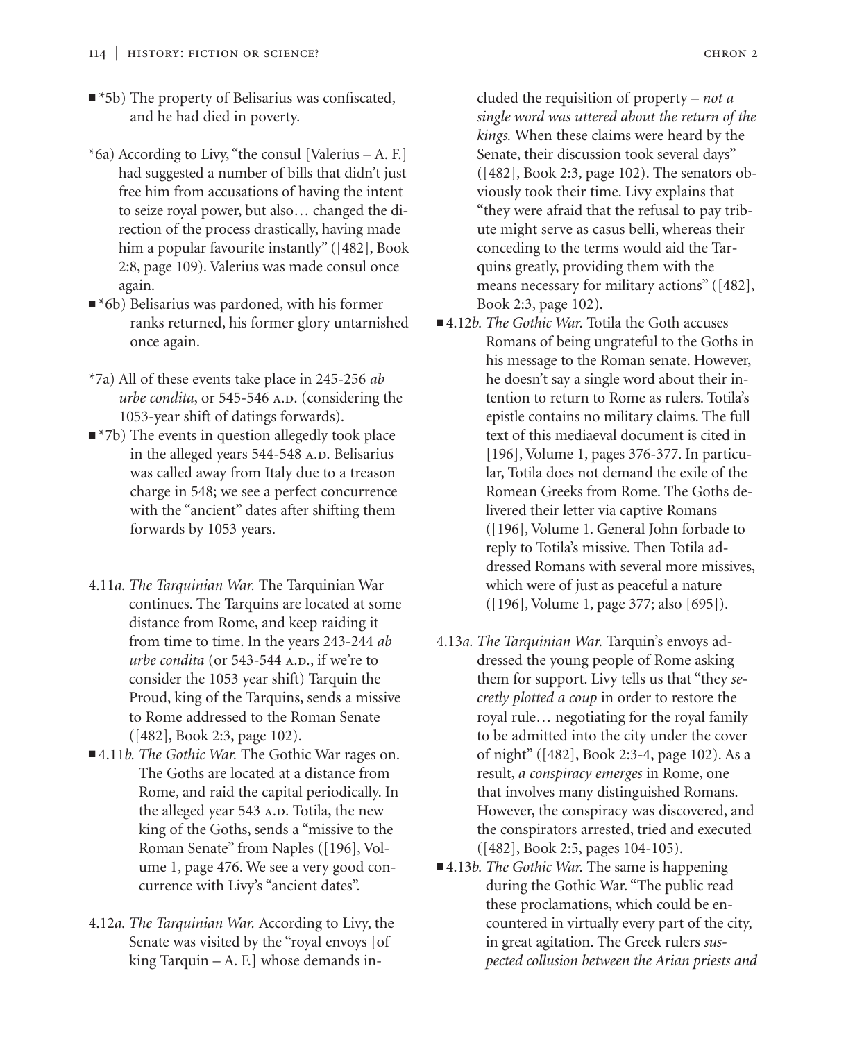- \*5b) The property of Belisarius was confiscated, and he had died in poverty.
- \*6a) According to Livy, "the consul [Valerius A. F.] had suggested a number of bills that didn't just free him from accusations of having the intent to seize royal power, but also… changed the direction of the process drastically, having made him a popular favourite instantly" ([482], Book 2:8, page 109). Valerius was made consul once again.
- $\blacktriangleright$   $\blacktriangleright$   $\blacktriangleright$   $\blacktriangleright$  Belisarius was pardoned, with his former ranks returned, his former glory untarnished once again.
- \*7a) All of these events take place in 245-256 *ab urbe condita*, or 545-546 A.D. (considering the 1053-year shift of datings forwards).
- \*7b) The events in question allegedly took place in the alleged years 544-548 A.D. Belisarius was called away from Italy due to a treason charge in 548; we see a perfect concurrence with the "ancient" dates after shifting them forwards by 1053 years.
- 4.11*a. The Tarquinian War.* The Tarquinian War continues. The Tarquins are located at some distance from Rome, and keep raiding it from time to time. In the years 243-244 *ab urbe condita* (or 543-544 A.D., if we're to consider the 1053 year shift) Tarquin the Proud, king of the Tarquins, sends a missive to Rome addressed to the Roman Senate ([482], Book 2:3, page 102).
- 4.11*b. The Gothic War*. The Gothic War rages on. The Goths are located at a distance from Rome, and raid the capital periodically. In the alleged year 543 A.D. Totila, the new king of the Goths, sends a "missive to the Roman Senate" from Naples ([196], Volume 1, page 476. We see a very good concurrence with Livy's "ancient dates".
- 4.12*a. The Tarquinian War.* According to Livy, the Senate was visited by the "royal envoys [of king Tarquin – A. F.] whose demands in-

cluded the requisition of property – *not a single word was uttered about the return of the kings.* When these claims were heard by the Senate, their discussion took several days" ([482], Book 2:3, page 102). The senators obviously took their time. Livy explains that "they were afraid that the refusal to pay tribute might serve as casus belli, whereas their conceding to the terms would aid the Tarquins greatly, providing them with the means necessary for military actions" ([482], Book 2:3, page 102).

- 4.12*b. The Gothic War*. Totila the Goth accuses Romans of being ungrateful to the Goths in his message to the Roman senate. However, he doesn't say a single word about their intention to return to Rome as rulers. Totila's epistle contains no military claims. The full text of this mediaeval document is cited in [196], Volume 1, pages 376-377. In particular, Totila does not demand the exile of the Romean Greeks from Rome. The Goths delivered their letter via captive Romans ([196], Volume 1. General John forbade to reply to Totila's missive. Then Totila addressed Romans with several more missives, which were of just as peaceful a nature ([196], Volume 1, page 377; also [695]).
- 4.13*a. The Tarquinian War.* Tarquin's envoys addressed the young people of Rome asking them for support. Livy tells us that "they *secretly plotted a coup* in order to restore the royal rule… negotiating for the royal family to be admitted into the city under the cover of night" ([482], Book 2:3-4, page 102). As a result, *a conspiracy emerges* in Rome, one that involves many distinguished Romans. However, the conspiracy was discovered, and the conspirators arrested, tried and executed ([482], Book 2:5, pages 104-105).
- 4.13*b. The Gothic War*. The same is happening during the Gothic War. "The public read these proclamations, which could be encountered in virtually every part of the city, in great agitation. The Greek rulers *suspected collusion between the Arian priests and*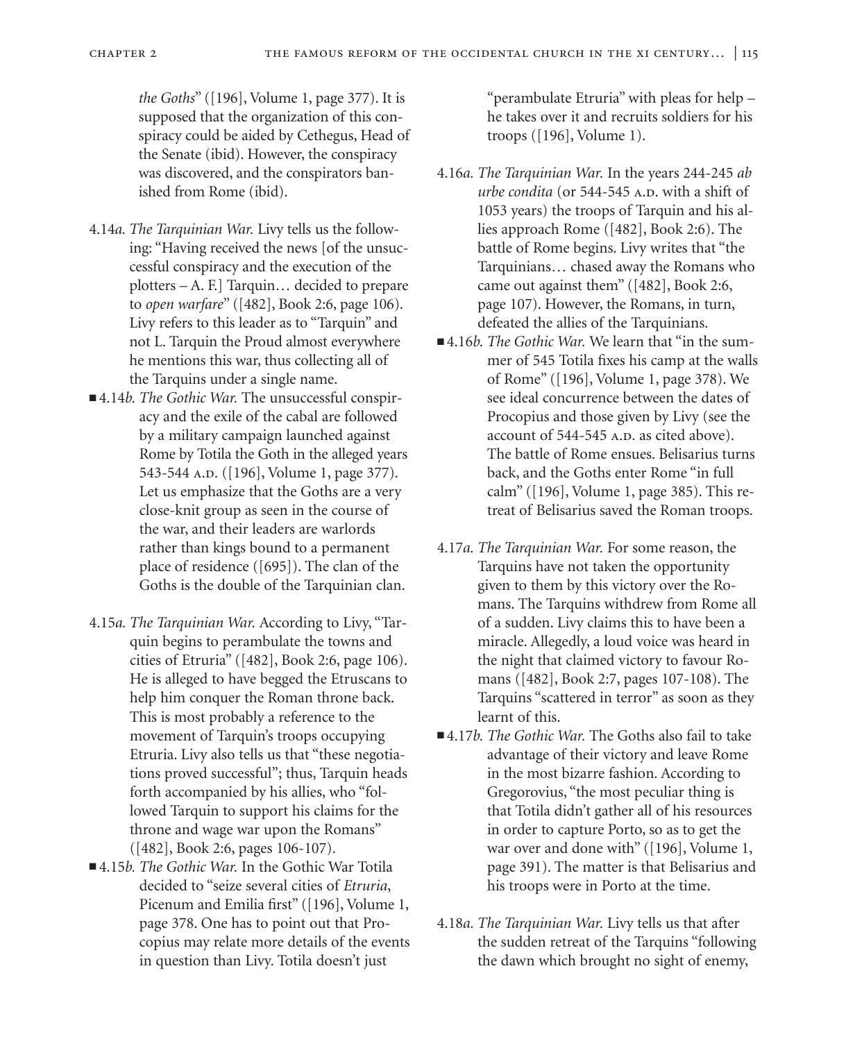*the Goths*" ([196], Volume 1, page 377). It is supposed that the organization of this conspiracy could be aided by Cethegus, Head of the Senate (ibid). However, the conspiracy was discovered, and the conspirators banished from Rome (ibid).

- 4.14*a. The Tarquinian War.* Livy tells us the following: "Having received the news [of the unsuccessful conspiracy and the execution of the plotters – A. F.] Tarquin… decided to prepare to *open warfare*" ([482], Book 2:6, page 106). Livy refers to this leader as to "Tarquin" and not L. Tarquin the Proud almost everywhere he mentions this war, thus collecting all of the Tarquins under a single name.
- 4.14*b. The Gothic War*. The unsuccessful conspiracy and the exile of the cabal are followed by a military campaign launched against Rome by Totila the Goth in the alleged years 543-544 A.D. ([196], Volume 1, page 377). Let us emphasize that the Goths are a very close-knit group as seen in the course of the war, and their leaders are warlords rather than kings bound to a permanent place of residence ([695]). The clan of the Goths is the double of the Tarquinian clan.
- 4.15*a. The Tarquinian War.* According to Livy, "Tarquin begins to perambulate the towns and cities of Etruria" ([482], Book 2:6, page 106). He is alleged to have begged the Etruscans to help him conquer the Roman throne back. This is most probably a reference to the movement of Tarquin's troops occupying Etruria. Livy also tells us that "these negotiations proved successful"; thus, Tarquin heads forth accompanied by his allies, who "followed Tarquin to support his claims for the throne and wage war upon the Romans" ([482], Book 2:6, pages 106-107).
- 4.15*b. The Gothic War*. In the Gothic War Totila decided to "seize several cities of *Etruria*, Picenum and Emilia first" ([196], Volume 1, page 378. One has to point out that Procopius may relate more details of the events in question than Livy. Totila doesn't just

"perambulate Etruria" with pleas for help – he takes over it and recruits soldiers for his troops ([196], Volume 1).

- 4.16*a. The Tarquinian War.* In the years 244-245 *ab* urbe condita (or 544-545 A.D. with a shift of 1053 years) the troops of Tarquin and his allies approach Rome ([482], Book 2:6). The battle of Rome begins. Livy writes that "the Tarquinians… chased away the Romans who came out against them" ([482], Book 2:6, page 107). However, the Romans, in turn, defeated the allies of the Tarquinians.
- 4.16*b. The Gothic War*. We learn that "in the summer of 545 Totila fixes his camp at the walls of Rome" ([196], Volume 1, page 378). We see ideal concurrence between the dates of Procopius and those given by Livy (see the account of 544-545 A.D. as cited above). The battle of Rome ensues. Belisarius turns back, and the Goths enter Rome "in full calm" ([196], Volume 1, page 385). This retreat of Belisarius saved the Roman troops.
- 4.17*a. The Tarquinian War.* For some reason, the Tarquins have not taken the opportunity given to them by this victory over the Romans. The Tarquins withdrew from Rome all of a sudden. Livy claims this to have been a miracle. Allegedly, a loud voice was heard in the night that claimed victory to favour Romans ([482], Book 2:7, pages 107-108). The Tarquins "scattered in terror" as soon as they learnt of this.
- 4.17*b. The Gothic War*. The Goths also fail to take advantage of their victory and leave Rome in the most bizarre fashion. According to Gregorovius, "the most peculiar thing is that Totila didn't gather all of his resources in order to capture Porto, so as to get the war over and done with" ([196], Volume 1, page 391). The matter is that Belisarius and his troops were in Porto at the time.
- 4.18*a. The Tarquinian War.* Livy tells us that after the sudden retreat of the Tarquins "following the dawn which brought no sight of enemy,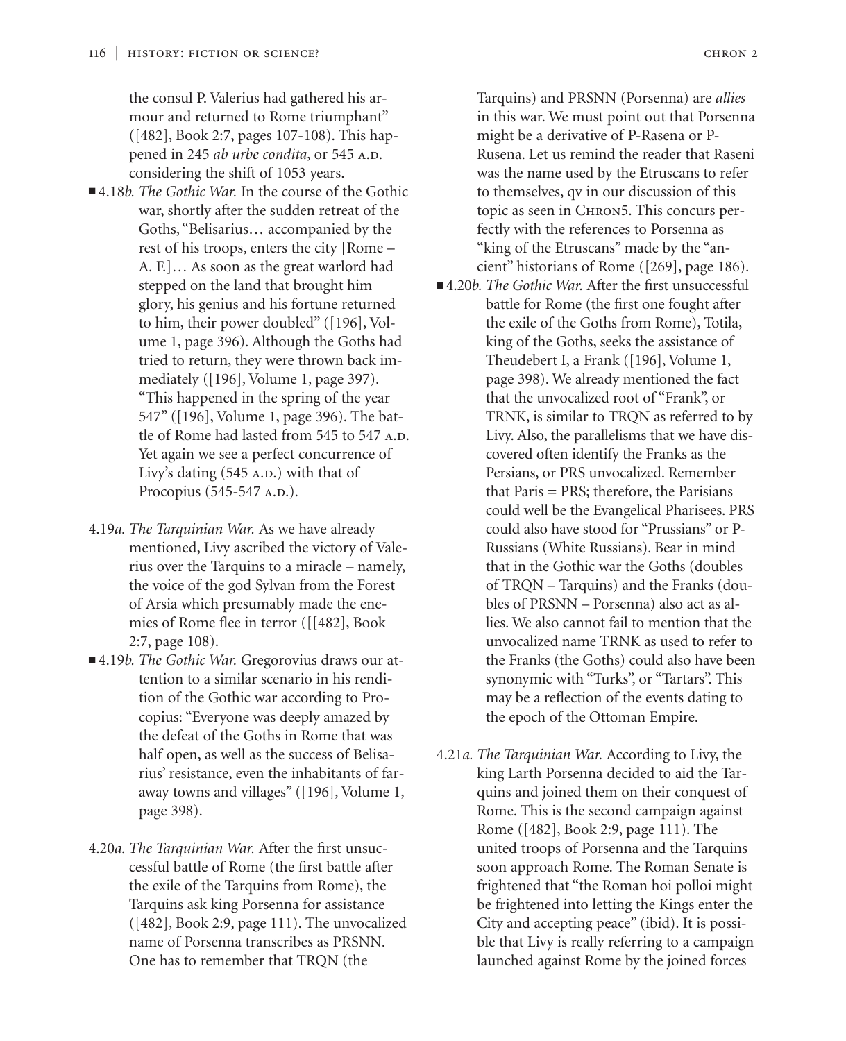the consul P. Valerius had gathered his armour and returned to Rome triumphant" ([482], Book 2:7, pages 107-108). This happened in 245 *ab urbe condita*, or 545 A.D. considering the shift of 1053 years.

- 4.18*b. The Gothic War*. In the course of the Gothic war, shortly after the sudden retreat of the Goths, "Belisarius… accompanied by the rest of his troops, enters the city [Rome – A. F.]… As soon as the great warlord had stepped on the land that brought him glory, his genius and his fortune returned to him, their power doubled" ([196], Volume 1, page 396). Although the Goths had tried to return, they were thrown back immediately ([196], Volume 1, page 397). "This happened in the spring of the year 547" ([196], Volume 1, page 396). The battle of Rome had lasted from 545 to 547 A.D. Yet again we see a perfect concurrence of Livy's dating  $(545 A.D.)$  with that of Procopius (545-547 A.D.).
- 4.19*a. The Tarquinian War.* As we have already mentioned, Livy ascribed the victory of Valerius over the Tarquins to a miracle – namely, the voice of the god Sylvan from the Forest of Arsia which presumably made the enemies of Rome flee in terror ([[482], Book 2:7, page 108).
- 4.19*b. The Gothic War.* Gregorovius draws our attention to a similar scenario in his rendition of the Gothic war according to Procopius: "Everyone was deeply amazed by the defeat of the Goths in Rome that was half open, as well as the success of Belisarius' resistance, even the inhabitants of faraway towns and villages" ([196], Volume 1, page 398).
- 4.20*a. The Tarquinian War.* After the first unsuccessful battle of Rome (the first battle after the exile of the Tarquins from Rome), the Tarquins ask king Porsenna for assistance ([482], Book 2:9, page 111). The unvocalized name of Porsenna transcribes as PRSNN. One has to remember that TRQN (the

Tarquins) and PRSNN (Porsenna) are *allies* in this war. We must point out that Porsenna might be a derivative of P-Rasena or P-Rusena. Let us remind the reader that Raseni was the name used by the Etruscans to refer to themselves, qv in our discussion of this topic as seen in CHRON5. This concurs perfectly with the references to Porsenna as "king of the Etruscans" made by the "ancient" historians of Rome ([269], page 186).

- 4.20*b. The Gothic War.* After the first unsuccessful battle for Rome (the first one fought after the exile of the Goths from Rome), Totila, king of the Goths, seeks the assistance of Theudebert I, a Frank ([196], Volume 1, page 398). We already mentioned the fact that the unvocalized root of "Frank", or TRNK, is similar to TRQN as referred to by Livy. Also, the parallelisms that we have discovered often identify the Franks as the Persians, or PRS unvocalized. Remember that Paris = PRS; therefore, the Parisians could well be the Evangelical Pharisees. PRS could also have stood for "Prussians" or P-Russians (White Russians). Bear in mind that in the Gothic war the Goths (doubles of TRQN – Tarquins) and the Franks (doubles of PRSNN – Porsenna) also act as allies. We also cannot fail to mention that the unvocalized name TRNK as used to refer to the Franks (the Goths) could also have been synonymic with "Turks", or "Tartars". This may be a reflection of the events dating to the epoch of the Ottoman Empire.
- 4.21*a. The Tarquinian War.* According to Livy, the king Larth Porsenna decided to aid the Tarquins and joined them on their conquest of Rome. This is the second campaign against Rome ([482], Book 2:9, page 111). The united troops of Porsenna and the Tarquins soon approach Rome. The Roman Senate is frightened that "the Roman hoi polloi might be frightened into letting the Kings enter the City and accepting peace" (ibid). It is possible that Livy is really referring to a campaign launched against Rome by the joined forces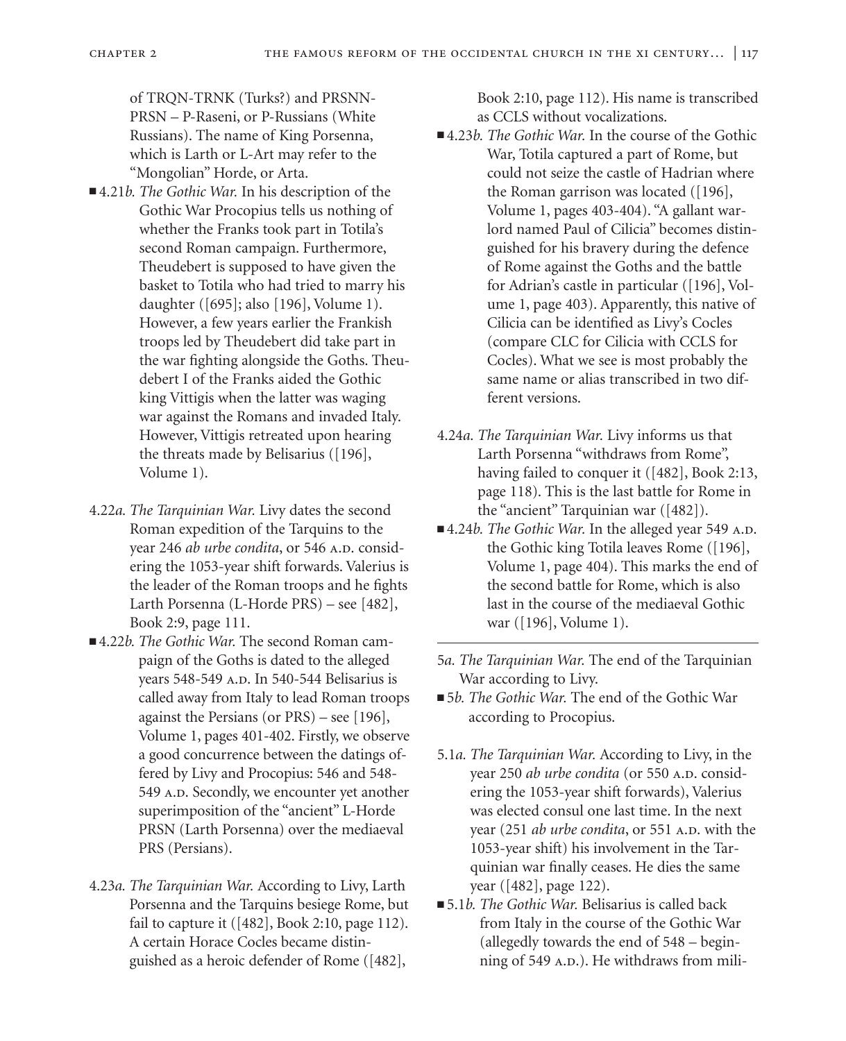of TRQN-TRNK (Turks?) and PRSNN-PRSN – P-Raseni, or P-Russians (White Russians). The name of King Porsenna, which is Larth or L-Art may refer to the "Mongolian" Horde, or Arta.

- 4.21*b. The Gothic War*. In his description of the Gothic War Procopius tells us nothing of whether the Franks took part in Totila's second Roman campaign. Furthermore, Theudebert is supposed to have given the basket to Totila who had tried to marry his daughter ([695]; also [196], Volume 1). However, a few years earlier the Frankish troops led by Theudebert did take part in the war fighting alongside the Goths. Theudebert I of the Franks aided the Gothic king Vittigis when the latter was waging war against the Romans and invaded Italy. However, Vittigis retreated upon hearing the threats made by Belisarius ([196], Volume 1).
- 4.22*a. The Tarquinian War.* Livy dates the second Roman expedition of the Tarquins to the year 246 *ab urbe condita*, or 546 A.D. considering the 1053-year shift forwards. Valerius is the leader of the Roman troops and he fights Larth Porsenna (L-Horde PRS) – see [482], Book 2:9, page 111.
- 4.22*b. The Gothic War*. The second Roman campaign of the Goths is dated to the alleged years 548-549 A.D. In 540-544 Belisarius is called away from Italy to lead Roman troops against the Persians (or PRS) – see [196], Volume 1, pages 401-402. Firstly, we observe a good concurrence between the datings offered by Livy and Procopius: 546 and 548- 549 A.D. Secondly, we encounter yet another superimposition of the "ancient" L-Horde PRSN (Larth Porsenna) over the mediaeval PRS (Persians).
- 4.23*a. The Tarquinian War.* According to Livy, Larth Porsenna and the Tarquins besiege Rome, but fail to capture it ([482], Book 2:10, page 112). A certain Horace Cocles became distinguished as a heroic defender of Rome ([482],

Book 2:10, page 112). His name is transcribed as CCLS without vocalizations.

- 4.23*b. The Gothic War*. In the course of the Gothic War, Totila captured a part of Rome, but could not seize the castle of Hadrian where the Roman garrison was located ([196], Volume 1, pages 403-404). "A gallant warlord named Paul of Cilicia" becomes distinguished for his bravery during the defence of Rome against the Goths and the battle for Adrian's castle in particular ([196], Volume 1, page 403). Apparently, this native of Cilicia can be identified as Livy's Cocles (compare CLC for Cilicia with CCLS for Cocles). What we see is most probably the same name or alias transcribed in two different versions.
- 4.24*a. The Tarquinian War.* Livy informs us that Larth Porsenna "withdraws from Rome", having failed to conquer it ([482], Book 2:13, page 118). This is the last battle for Rome in the "ancient" Tarquinian war ([482]).
- 4.24*b. The Gothic War*. In the alleged year 549 A.D. the Gothic king Totila leaves Rome ([196], Volume 1, page 404). This marks the end of the second battle for Rome, which is also last in the course of the mediaeval Gothic war ([196], Volume 1).
- 5*a. The Tarquinian War.* The end of the Tarquinian War according to Livy.
- 5*b. The Gothic War*. The end of the Gothic War according to Procopius.
- 5.1*a. The Tarquinian War.* According to Livy, in the year 250 *ab urbe condita* (or 550 A.D. considering the 1053-year shift forwards), Valerius was elected consul one last time. In the next year (251 *ab urbe condita*, or 551 A.D. with the 1053-year shift) his involvement in the Tarquinian war finally ceases. He dies the same year ([482], page 122).
- 5.1*b. The Gothic War*. Belisarius is called back from Italy in the course of the Gothic War (allegedly towards the end of 548 – beginning of 549 A.D.). He withdraws from mili-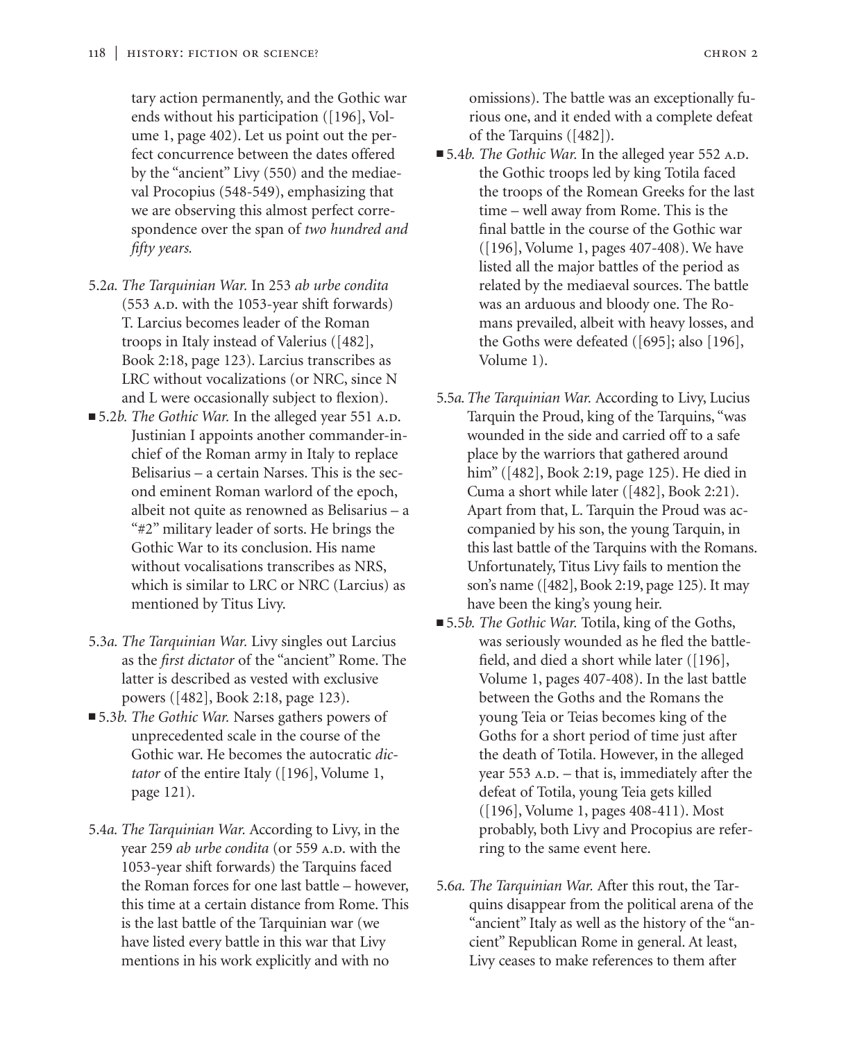tary action permanently, and the Gothic war ends without his participation ([196], Volume 1, page 402). Let us point out the perfect concurrence between the dates offered by the "ancient" Livy (550) and the mediaeval Procopius (548-549), emphasizing that we are observing this almost perfect correspondence over the span of *two hundred and fifty years.*

- 5.2*a. The Tarquinian War.* In 253 *ab urbe condita* (553 A.D. with the 1053-year shift forwards) T. Larcius becomes leader of the Roman troops in Italy instead of Valerius ([482], Book 2:18, page 123). Larcius transcribes as LRC without vocalizations (or NRC, since N and L were occasionally subject to flexion).
- 5.2*b. The Gothic War*. In the alleged year 551 A.D. Justinian I appoints another commander-inchief of the Roman army in Italy to replace Belisarius – a certain Narses. This is the second eminent Roman warlord of the epoch, albeit not quite as renowned as Belisarius – a "#2" military leader of sorts. He brings the Gothic War to its conclusion. His name without vocalisations transcribes as NRS, which is similar to LRC or NRC (Larcius) as mentioned by Titus Livy.
- 5.3*a. The Tarquinian War.* Livy singles out Larcius as the *first dictator* of the "ancient" Rome. The latter is described as vested with exclusive powers ([482], Book 2:18, page 123).
- 5.3*b. The Gothic War*. Narses gathers powers of unprecedented scale in the course of the Gothic war. He becomes the autocratic *dictator* of the entire Italy ([196], Volume 1, page 121).
- 5.4*a. The Tarquinian War.* According to Livy, in the year 259 *ab urbe condita* (or 559 A.D. with the 1053-year shift forwards) the Tarquins faced the Roman forces for one last battle – however, this time at a certain distance from Rome. This is the last battle of the Tarquinian war (we have listed every battle in this war that Livy mentions in his work explicitly and with no

omissions). The battle was an exceptionally furious one, and it ended with a complete defeat of the Tarquins ([482]).

- 5.4*b. The Gothic War*. In the alleged year 552 A.D. the Gothic troops led by king Totila faced the troops of the Romean Greeks for the last time – well away from Rome. This is the final battle in the course of the Gothic war ([196], Volume 1, pages 407-408). We have listed all the major battles of the period as related by the mediaeval sources. The battle was an arduous and bloody one. The Romans prevailed, albeit with heavy losses, and the Goths were defeated ([695]; also [196], Volume 1).
- 5.5*a.The Tarquinian War.* According to Livy, Lucius Tarquin the Proud, king of the Tarquins, "was wounded in the side and carried off to a safe place by the warriors that gathered around him" ([482], Book 2:19, page 125). He died in Cuma a short while later ([482], Book 2:21). Apart from that, L. Tarquin the Proud was accompanied by his son, the young Tarquin, in this last battle of the Tarquins with the Romans. Unfortunately, Titus Livy fails to mention the son's name ([482], Book 2:19, page 125). It may have been the king's young heir.
- 5.5*b. The Gothic War*. Totila, king of the Goths, was seriously wounded as he fled the battlefield, and died a short while later ([196], Volume 1, pages 407-408). In the last battle between the Goths and the Romans the young Teia or Teias becomes king of the Goths for a short period of time just after the death of Totila. However, in the alleged year  $553$  A.D. – that is, immediately after the defeat of Totila, young Teia gets killed ([196], Volume 1, pages 408-411). Most probably, both Livy and Procopius are referring to the same event here.
- 5.6*a. The Tarquinian War.* After this rout, the Tarquins disappear from the political arena of the "ancient" Italy as well as the history of the "ancient" Republican Rome in general. At least, Livy ceases to make references to them after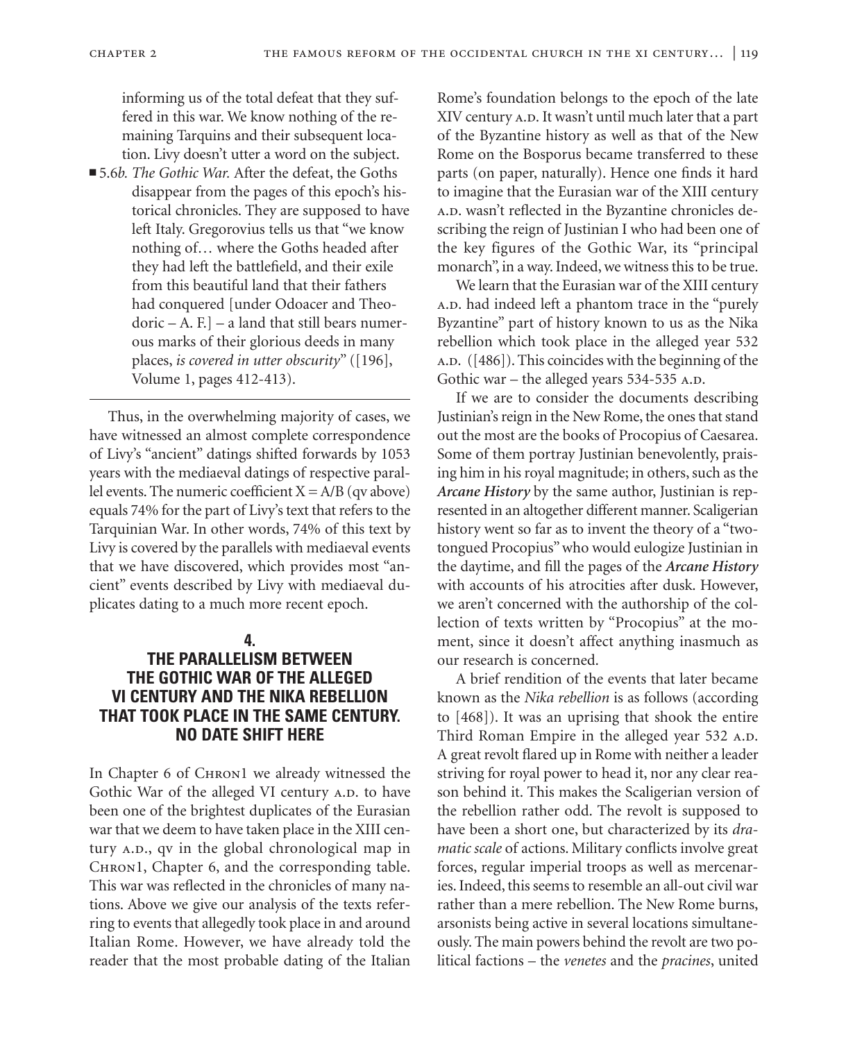informing us of the total defeat that they suffered in this war. We know nothing of the remaining Tarquins and their subsequent location. Livy doesn't utter a word on the subject.

■ 5.6*b. The Gothic War.* After the defeat, the Goths disappear from the pages of this epoch's historical chronicles. They are supposed to have left Italy. Gregorovius tells us that "we know nothing of… where the Goths headed after they had left the battlefield, and their exile from this beautiful land that their fathers had conquered [under Odoacer and Theo- $\text{doric} - \text{A}$ . F.] – a land that still bears numerous marks of their glorious deeds in many places, *is covered in utter obscurity*" ([196], Volume 1, pages 412-413).

Thus, in the overwhelming majority of cases, we have witnessed an almost complete correspondence of Livy's "ancient" datings shifted forwards by 1053 years with the mediaeval datings of respective parallel events. The numeric coefficient  $X = A/B$  (qv above) equals 74% for the part of Livy's text that refers to the Tarquinian War. In other words, 74% of this text by Livy is covered by the parallels with mediaeval events that we have discovered, which provides most "ancient" events described by Livy with mediaeval duplicates dating to a much more recent epoch.

#### **4.**

# **THE PARALLELISM BETWEEN THE GOTHIC WAR OF THE ALLEGED VI CENTURY AND THE NIKA REBELLION THAT TOOK PLACE IN THE SAME CENTURY. NO DATE SHIFT HERE**

In Chapter 6 of Chron1 we already witnessed the Gothic War of the alleged VI century A.D. to have been one of the brightest duplicates of the Eurasian war that we deem to have taken place in the XIII century A.D., qv in the global chronological map in CHRON1, Chapter 6, and the corresponding table. This war was reflected in the chronicles of many nations. Above we give our analysis of the texts referring to events that allegedly took place in and around Italian Rome. However, we have already told the reader that the most probable dating of the Italian

Rome's foundation belongs to the epoch of the late XIV century A.D. It wasn't until much later that a part of the Byzantine history as well as that of the New Rome on the Bosporus became transferred to these parts (on paper, naturally). Hence one finds it hard to imagine that the Eurasian war of the XIII century a.d. wasn't reflected in the Byzantine chronicles describing the reign of Justinian I who had been one of the key figures of the Gothic War, its "principal monarch", in a way. Indeed, we witness this to be true.

We learn that the Eurasian war of the XIII century A.D. had indeed left a phantom trace in the "purely Byzantine" part of history known to us as the Nika rebellion which took place in the alleged year 532 A.D. ([486]). This coincides with the beginning of the Gothic war – the alleged years  $534-535$  A.D.

If we are to consider the documents describing Justinian's reign in the New Rome, the ones that stand out the most are the books of Procopius of Caesarea. Some of them portray Justinian benevolently, praising him in his royal magnitude; in others, such as the *Arcane History* by the same author, Justinian is represented in an altogether different manner. Scaligerian history went so far as to invent the theory of a "twotongued Procopius" who would eulogize Justinian in the daytime, and fill the pages of the *Arcane History* with accounts of his atrocities after dusk. However, we aren't concerned with the authorship of the collection of texts written by "Procopius" at the moment, since it doesn't affect anything inasmuch as our research is concerned.

A brief rendition of the events that later became known as the *Nika rebellion* is as follows (according to [468]). It was an uprising that shook the entire Third Roman Empire in the alleged year 532 A.D. A great revolt flared up in Rome with neither a leader striving for royal power to head it, nor any clear reason behind it. This makes the Scaligerian version of the rebellion rather odd. The revolt is supposed to have been a short one, but characterized by its *dramatic scale* of actions. Military conflicts involve great forces, regular imperial troops as well as mercenaries. Indeed, this seems to resemble an all-out civil war rather than a mere rebellion. The New Rome burns, arsonists being active in several locations simultaneously. The main powers behind the revolt are two political factions – the *venetes* and the *pracines*, united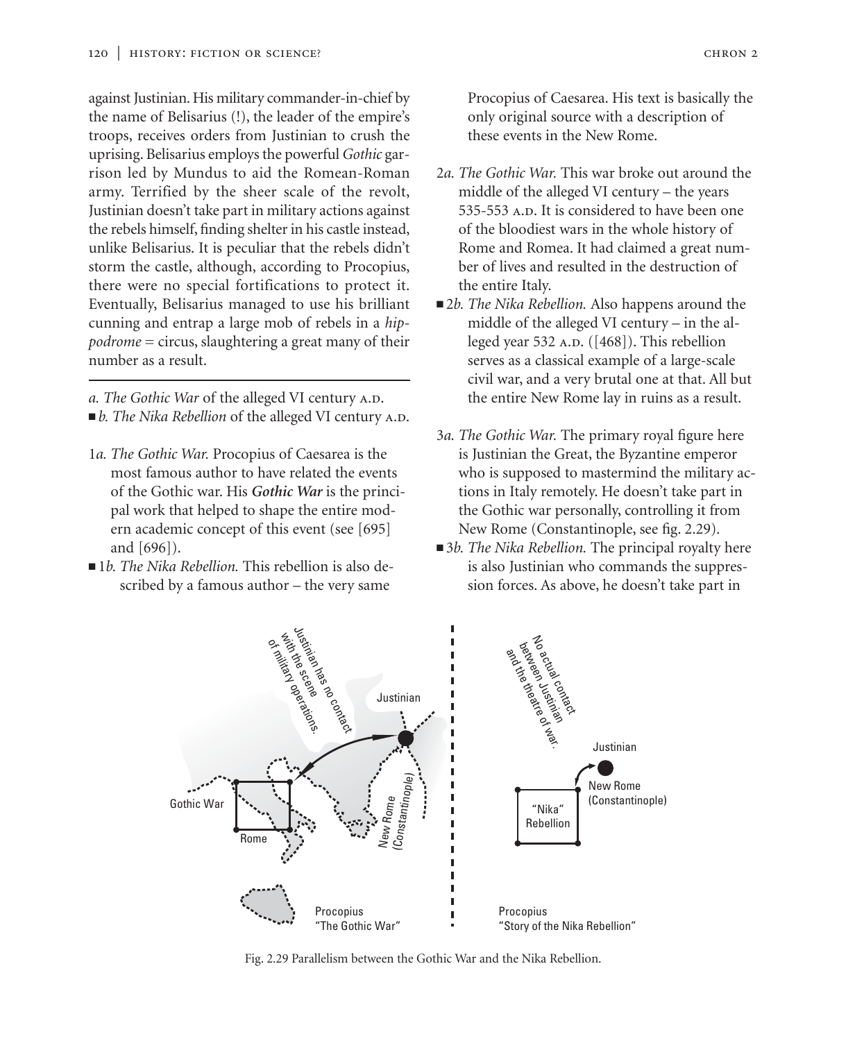against Justinian. His military commander-in-chief by the name of Belisarius (!), the leader of the empire's troops, receives orders from Justinian to crush the uprising. Belisarius employs the powerful *Gothic* garrison led by Mundus to aid the Romean-Roman army. Terrified by the sheer scale of the revolt, Justinian doesn't take part in military actions against the rebels himself, finding shelter in his castle instead, unlike Belisarius. It is peculiar that the rebels didn't storm the castle, although, according to Procopius, there were no special fortifications to protect it. Eventually, Belisarius managed to use his brilliant cunning and entrap a large mob of rebels in a *hippodrome* = circus, slaughtering a great many of their number as a result.

*a. The Gothic War* of the alleged VI century A.D. ■ *b. The Nika Rebellion* of the alleged VI century A.D.

- 1*a. The Gothic War.* Procopius of Caesarea is the most famous author to have related the events of the Gothic war. His *Gothic War* is the principal work that helped to shape the entire modern academic concept of this event (see [695] and [696]).
- 1*b. The Nika Rebellion*. This rebellion is also described by a famous author – the very same

Procopius of Caesarea. His text is basically the only original source with a description of these events in the New Rome.

- 2*a. The Gothic War.* This war broke out around the middle of the alleged VI century – the years 535-553 A.D. It is considered to have been one of the bloodiest wars in the whole history of Rome and Romea. It had claimed a great number of lives and resulted in the destruction of the entire Italy.
- 2*b. The Nika Rebellion*. Also happens around the middle of the alleged VI century – in the alleged year 532 A.D.  $([468])$ . This rebellion serves as a classical example of a large-scale civil war, and a very brutal one at that. All but the entire New Rome lay in ruins as a result.
- 3*a. The Gothic War.* The primary royal figure here is Justinian the Great, the Byzantine emperor who is supposed to mastermind the military actions in Italy remotely. He doesn't take part in the Gothic war personally, controlling it from New Rome (Constantinople, see fig. 2.29).
- 3*b. The Nika Rebellion*. The principal royalty here is also Justinian who commands the suppression forces. As above, he doesn't take part in



Fig. 2.29 Parallelism between the Gothic War and the Nika Rebellion.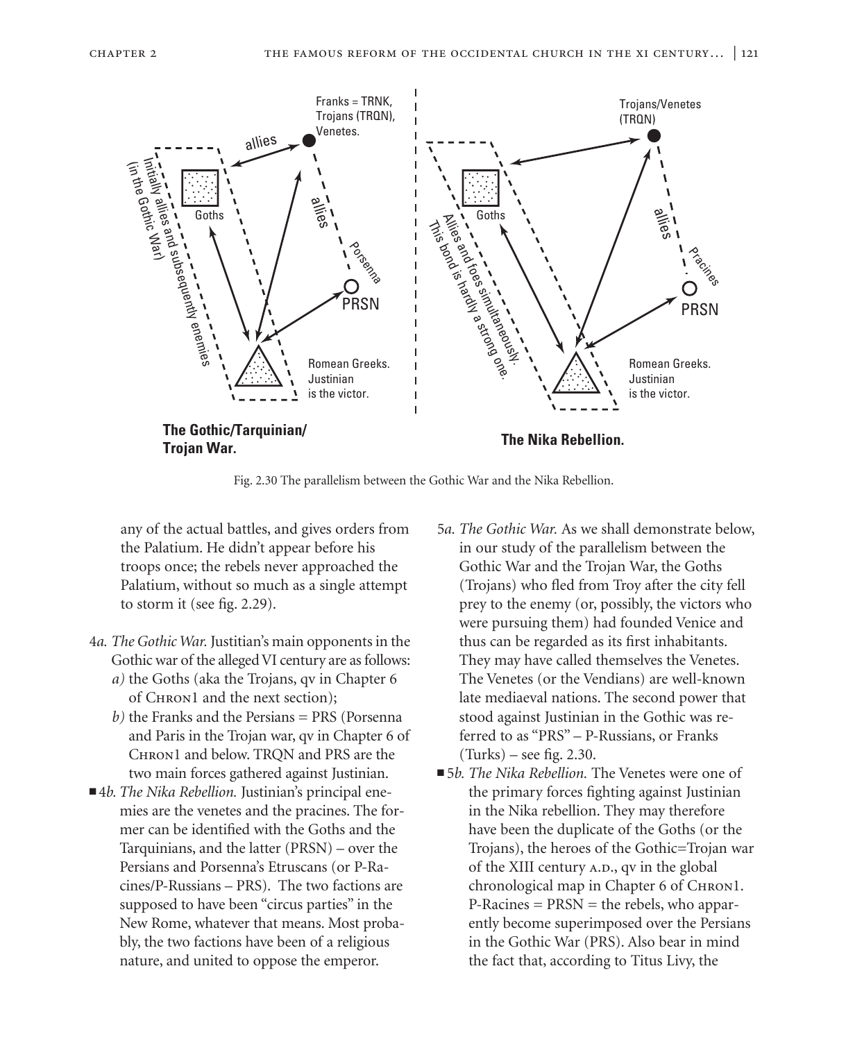

Fig. 2.30 The parallelism between the Gothic War and the Nika Rebellion.

any of the actual battles, and gives orders from the Palatium. He didn't appear before his troops once; the rebels never approached the Palatium, without so much as a single attempt to storm it (see fig. 2.29).

- 4*a. The Gothic War.* Justitian's main opponents in the Gothic war of the alleged VI century are as follows:
	- *a)* the Goths (aka the Trojans, qv in Chapter 6 of Chron1 and the next section);
	- *b)* the Franks and the Persians = PRS (Porsenna and Paris in the Trojan war, qv in Chapter 6 of CHRON1 and below. TRQN and PRS are the two main forces gathered against Justinian.
- 4*b. The Nika Rebellion*. Justinian's principal enemies are the venetes and the pracines. The former can be identified with the Goths and the Tarquinians, and the latter (PRSN) – over the Persians and Porsenna's Etruscans (or P-Racines/P-Russians – PRS). The two factions are supposed to have been "circus parties" in the New Rome, whatever that means. Most probably, the two factions have been of a religious nature, and united to oppose the emperor.
- 5*a. The Gothic War.* As we shall demonstrate below, in our study of the parallelism between the Gothic War and the Trojan War, the Goths (Trojans) who fled from Troy after the city fell prey to the enemy (or, possibly, the victors who were pursuing them) had founded Venice and thus can be regarded as its first inhabitants. They may have called themselves the Venetes. The Venetes (or the Vendians) are well-known late mediaeval nations. The second power that stood against Justinian in the Gothic was referred to as "PRS" – P-Russians, or Franks (Turks) – see fig. 2.30.
- 5*b. The Nika Rebellion*. The Venetes were one of the primary forces fighting against Justinian in the Nika rebellion. They may therefore have been the duplicate of the Goths (or the Trojans), the heroes of the Gothic=Trojan war of the XIII century A.D., qv in the global chronological map in Chapter 6 of CHRON1.  $P-Racines = PRSN =$  the rebels, who apparently become superimposed over the Persians in the Gothic War (PRS). Also bear in mind the fact that, according to Titus Livy, the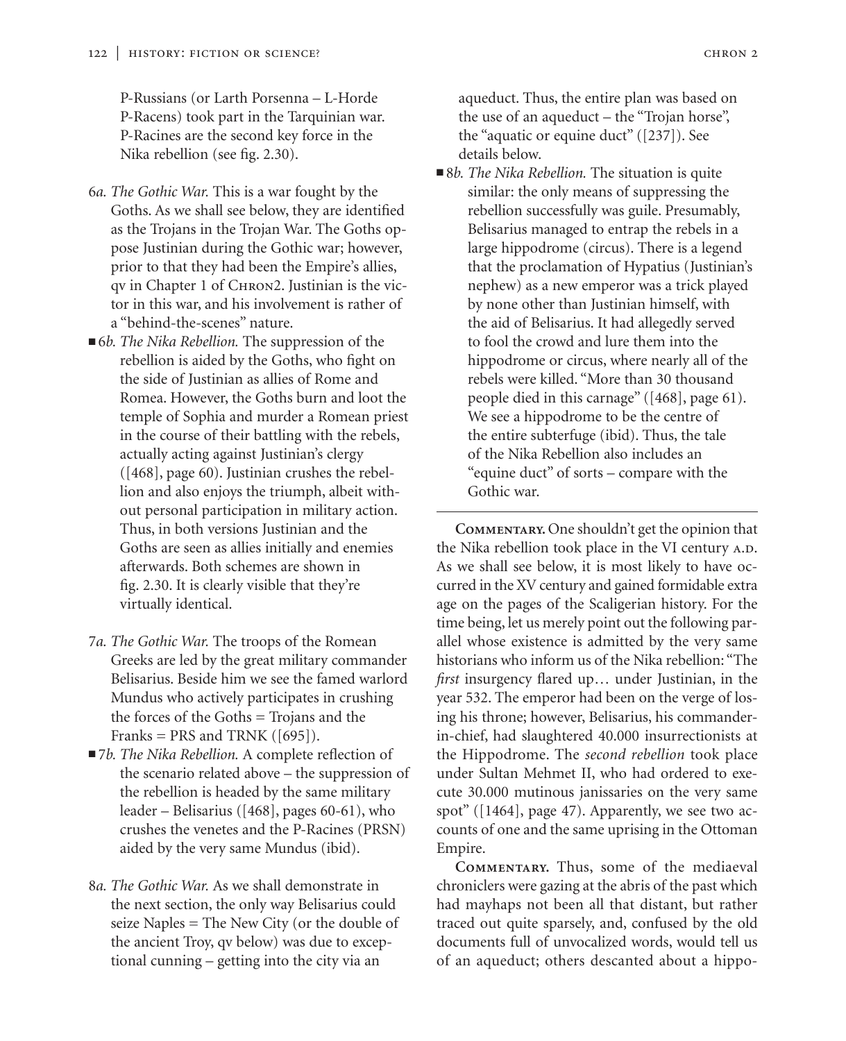P-Russians (or Larth Porsenna – L-Horde P-Racens) took part in the Tarquinian war. P-Racines are the second key force in the Nika rebellion (see fig. 2.30).

- 6*a. The Gothic War.* This is a war fought by the Goths. As we shall see below, they are identified as the Trojans in the Trojan War. The Goths oppose Justinian during the Gothic war; however, prior to that they had been the Empire's allies, qv in Chapter 1 of Chron2. Justinian is the victor in this war, and his involvement is rather of a "behind-the-scenes" nature.
- 6*b. The Nika Rebellion.* The suppression of the rebellion is aided by the Goths, who fight on the side of Justinian as allies of Rome and Romea. However, the Goths burn and loot the temple of Sophia and murder a Romean priest in the course of their battling with the rebels, actually acting against Justinian's clergy ([468], page 60). Justinian crushes the rebellion and also enjoys the triumph, albeit without personal participation in military action. Thus, in both versions Justinian and the Goths are seen as allies initially and enemies afterwards. Both schemes are shown in fig. 2.30. It is clearly visible that they're virtually identical.
- 7*a. The Gothic War.* The troops of the Romean Greeks are led by the great military commander Belisarius. Beside him we see the famed warlord Mundus who actively participates in crushing the forces of the Goths = Trojans and the Franks = PRS and TRNK  $([695])$ .
- 7*b. The Nika Rebellion*. A complete reflection of the scenario related above – the suppression of the rebellion is headed by the same military leader – Belisarius ([468], pages 60-61), who crushes the venetes and the P-Racines (PRSN) aided by the very same Mundus (ibid).
- 8*a. The Gothic War.* As we shall demonstrate in the next section, the only way Belisarius could seize Naples = The New City (or the double of the ancient Troy, qv below) was due to exceptional cunning – getting into the city via an

aqueduct. Thus, the entire plan was based on the use of an aqueduct – the "Trojan horse", the "aquatic or equine duct" ([237]). See details below.

■ 8*b. The Nika Rebellion*. The situation is quite similar: the only means of suppressing the rebellion successfully was guile. Presumably, Belisarius managed to entrap the rebels in a large hippodrome (circus). There is a legend that the proclamation of Hypatius (Justinian's nephew) as a new emperor was a trick played by none other than Justinian himself, with the aid of Belisarius. It had allegedly served to fool the crowd and lure them into the hippodrome or circus, where nearly all of the rebels were killed. "More than 30 thousand people died in this carnage" ([468], page 61). We see a hippodrome to be the centre of the entire subterfuge (ibid). Thus, the tale of the Nika Rebellion also includes an "equine duct" of sorts – compare with the Gothic war.

**Commentary.**One shouldn't get the opinion that the Nika rebellion took place in the VI century A.D. As we shall see below, it is most likely to have occurred in the XV century and gained formidable extra age on the pages of the Scaligerian history. For the time being, let us merely point out the following parallel whose existence is admitted by the very same historians who inform us of the Nika rebellion: "The *first* insurgency flared up… under Justinian, in the year 532. The emperor had been on the verge of losing his throne; however, Belisarius, his commanderin-chief, had slaughtered 40.000 insurrectionists at the Hippodrome. The *second rebellion* took place under Sultan Mehmet II, who had ordered to execute 30.000 mutinous janissaries on the very same spot" ([1464], page 47). Apparently, we see two accounts of one and the same uprising in the Ottoman Empire.

**Commentary.** Thus, some of the mediaeval chroniclers were gazing at the abris of the past which had mayhaps not been all that distant, but rather traced out quite sparsely, and, confused by the old documents full of unvocalized words, would tell us of an aqueduct; others descanted about a hippo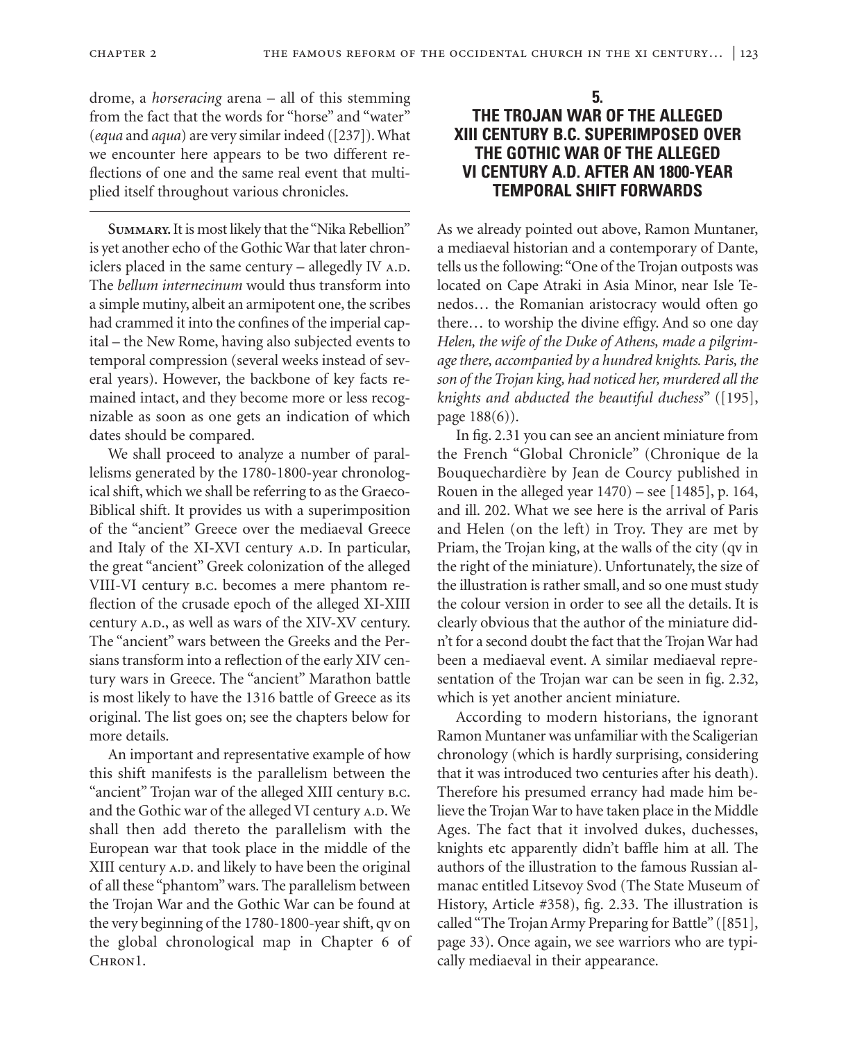drome, a *horseracing* arena – all of this stemming from the fact that the words for "horse" and "water" (*equa* and *aqua*) are very similar indeed ([237]). What we encounter here appears to be two different reflections of one and the same real event that multiplied itself throughout various chronicles.

**Summary.**It is most likely that the "Nika Rebellion" is yet another echo of the Gothic War that later chroniclers placed in the same century - allegedly IV A.D. The *bellum internecinum* would thus transform into a simple mutiny, albeit an armipotent one, the scribes had crammed it into the confines of the imperial capital – the New Rome, having also subjected events to temporal compression (several weeks instead of several years). However, the backbone of key facts remained intact, and they become more or less recognizable as soon as one gets an indication of which dates should be compared.

We shall proceed to analyze a number of parallelisms generated by the 1780-1800-year chronological shift, which we shall be referring to as the Graeco-Biblical shift. It provides us with a superimposition of the "ancient" Greece over the mediaeval Greece and Italy of the XI-XVI century A.D. In particular, the great "ancient" Greek colonization of the alleged VIII-VI century b.c. becomes a mere phantom reflection of the crusade epoch of the alleged XI-XIII century A.D., as well as wars of the XIV-XV century. The "ancient" wars between the Greeks and the Persians transform into a reflection of the early XIV century wars in Greece. The "ancient" Marathon battle is most likely to have the 1316 battle of Greece as its original. The list goes on; see the chapters below for more details.

An important and representative example of how this shift manifests is the parallelism between the "ancient" Trojan war of the alleged XIII century b.c. and the Gothic war of the alleged VI century A.D. We shall then add thereto the parallelism with the European war that took place in the middle of the XIII century A.D. and likely to have been the original of all these "phantom" wars. The parallelism between the Trojan War and the Gothic War can be found at the very beginning of the 1780-1800-year shift, qv on the global chronological map in Chapter 6 of CHRON<sub>1</sub>.

## **5. THE TROJAN WAR OF THE ALLEGED XIII CENTURY B.C. SUPERIMPOSED OVER THE GOTHIC WAR OF THE ALLEGED VI CENTURY A.D. AFTER AN 1800-YEAR TEMPORAL SHIFT FORWARDS**

As we already pointed out above, Ramon Muntaner, a mediaeval historian and a contemporary of Dante, tells us the following:"One of the Trojan outposts was located on Cape Atraki in Asia Minor, near Isle Tenedos… the Romanian aristocracy would often go there… to worship the divine effigy. And so one day *Helen, the wife of the Duke of Athens, made a pilgrimage there, accompanied by a hundred knights. Paris, the son of the Trojan king, had noticed her, murdered all the knights and abducted the beautiful duchess*" ([195], page 188(6)).

In fig. 2.31 you can see an ancient miniature from the French "Global Chronicle" (Chronique de la Bouquechardière by Jean de Courcy published in Rouen in the alleged year 1470) – see [1485], p. 164, and ill. 202. What we see here is the arrival of Paris and Helen (on the left) in Troy. They are met by Priam, the Trojan king, at the walls of the city (qv in the right of the miniature). Unfortunately, the size of the illustration is rather small, and so one must study the colour version in order to see all the details. It is clearly obvious that the author of the miniature didn't for a second doubt the fact that the Trojan War had been a mediaeval event. A similar mediaeval representation of the Trojan war can be seen in fig. 2.32, which is yet another ancient miniature.

According to modern historians, the ignorant Ramon Muntaner was unfamiliar with the Scaligerian chronology (which is hardly surprising, considering that it was introduced two centuries after his death). Therefore his presumed errancy had made him believe the Trojan War to have taken place in the Middle Ages. The fact that it involved dukes, duchesses, knights etc apparently didn't baffle him at all. The authors of the illustration to the famous Russian almanac entitled Litsevoy Svod (The State Museum of History, Article #358), fig. 2.33. The illustration is called "The Trojan Army Preparing for Battle" ([851], page 33). Once again, we see warriors who are typically mediaeval in their appearance.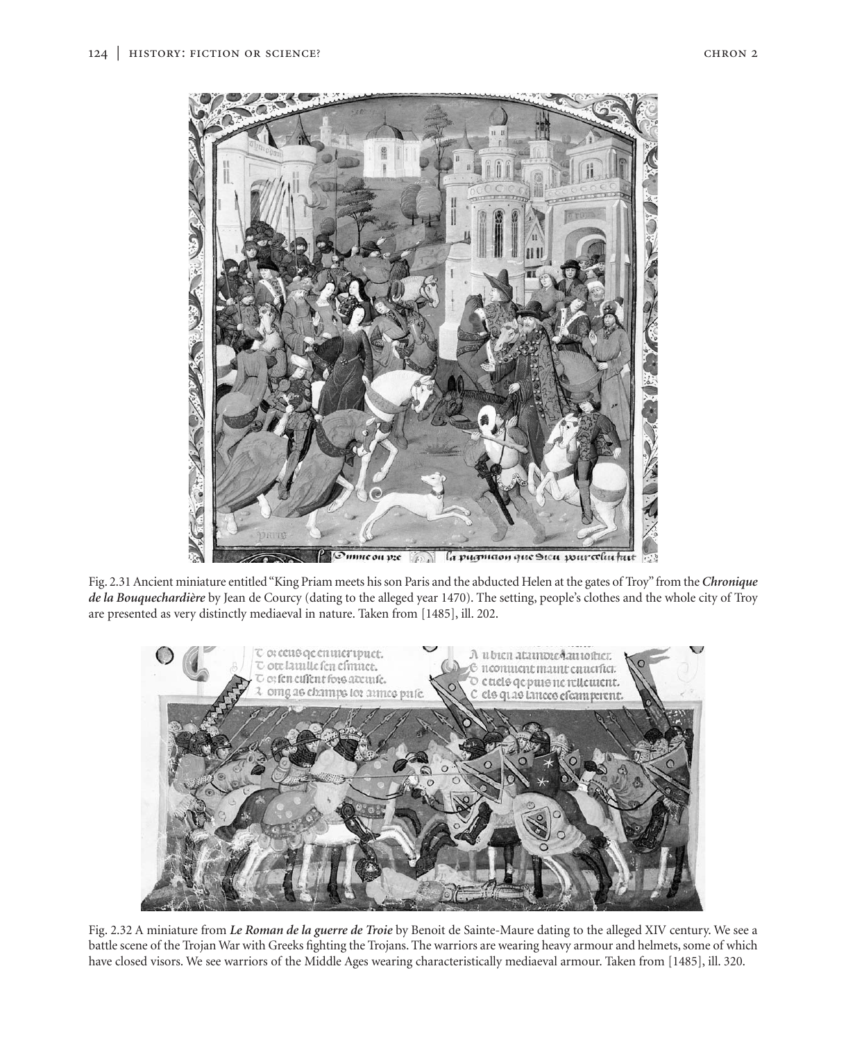

Fig. 2.31 Ancient miniature entitled "King Priam meets his son Paris and the abducted Helen at the gates of Troy" from the *Chronique de la Bouquechardière* by Jean de Courcy (dating to the alleged year 1470). The setting, people's clothes and the whole city of Troy are presented as very distinctly mediaeval in nature. Taken from [1485], ill. 202.



Fig. 2.32 A miniature from *Le Roman de la guerre de Troie* by Benoit de Sainte-Maure dating to the alleged XIV century. We see a battle scene of the Trojan War with Greeks fighting the Trojans. The warriors are wearing heavy armour and helmets, some of which have closed visors. We see warriors of the Middle Ages wearing characteristically mediaeval armour. Taken from [1485], ill. 320.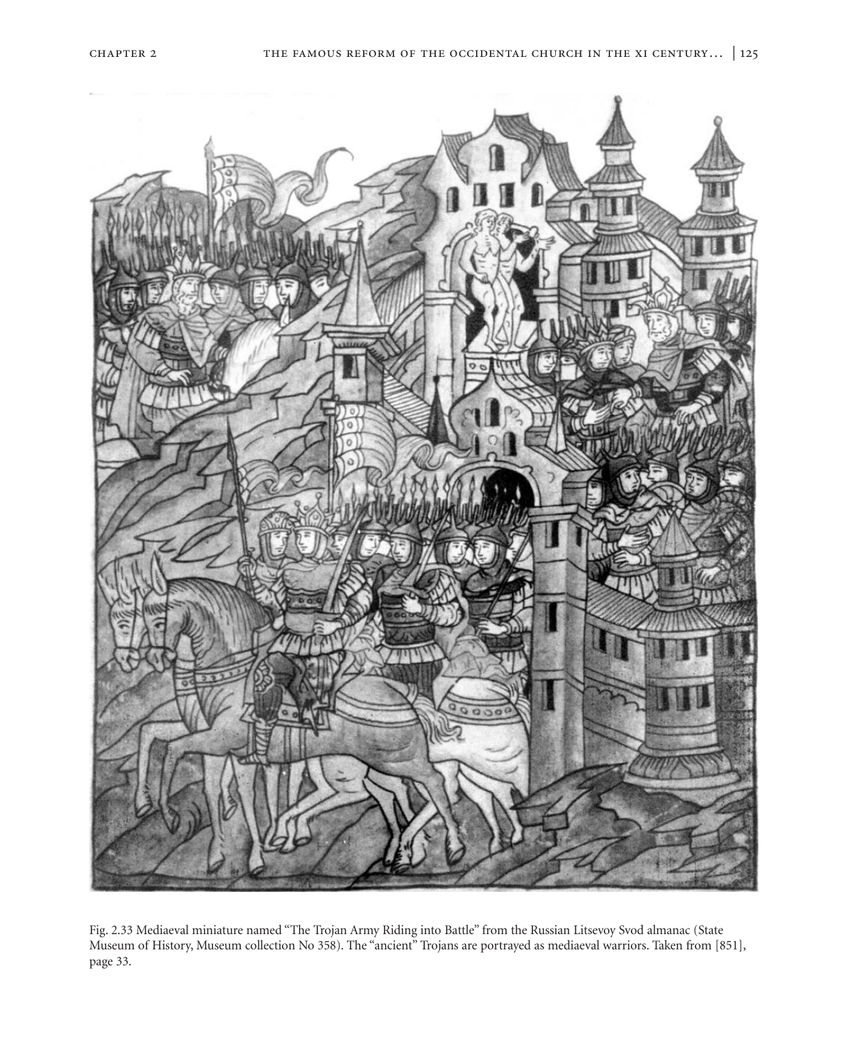

Fig. 2.33 Mediaeval miniature named "The Trojan Army Riding into Battle" from the Russian Litsevoy Svod almanac (State Museum of History, Museum collection No 358). The "ancient" Trojans are portrayed as mediaeval warriors. Taken from [851], page 33.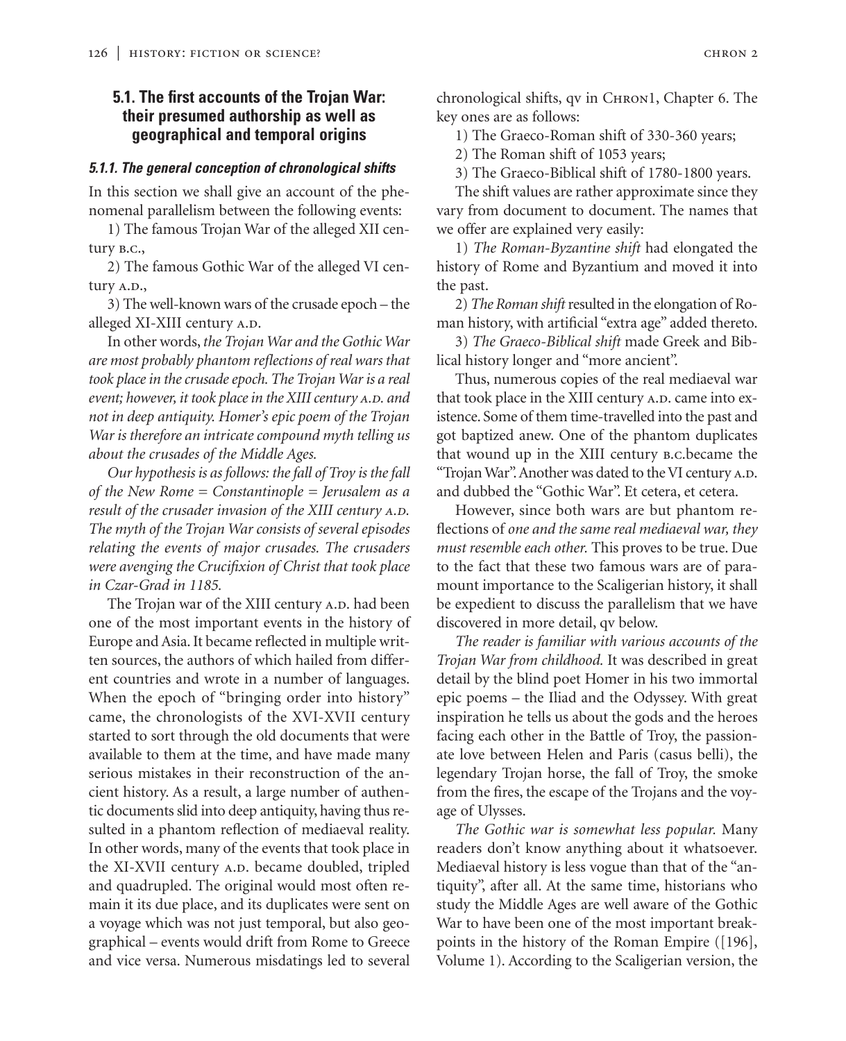## **5.1. The first accounts of the Trojan War: their presumed authorship as well as geographical and temporal origins**

#### *5.1.1. The general conception of chronological shifts*

In this section we shall give an account of the phenomenal parallelism between the following events:

1) The famous Trojan War of the alleged XII century b.c.,

2) The famous Gothic War of the alleged VI century A.D.,

3) The well-known wars of the crusade epoch – the alleged XI-XIII century A.D.

In other words, *the Trojan War and the Gothic War are most probably phantom reflections of real wars that took place in the crusade epoch. The Trojan War is a real event; however, it took place in the XIII century a.d. and not in deep antiquity. Homer's epic poem of the Trojan War is therefore an intricate compound myth telling us about the crusades of the Middle Ages.*

*Our hypothesis is as follows: the fall of Troy is the fall of the New Rome = Constantinople = Jerusalem as a result of the crusader invasion of the XIII century A.D. The myth of the Trojan War consists of several episodes relating the events of major crusades. The crusaders were avenging the Crucifixion of Christ that took place in Czar-Grad in 1185.*

The Trojan war of the XIII century A.D. had been one of the most important events in the history of Europe and Asia. It became reflected in multiple written sources, the authors of which hailed from different countries and wrote in a number of languages. When the epoch of "bringing order into history" came, the chronologists of the XVI-XVII century started to sort through the old documents that were available to them at the time, and have made many serious mistakes in their reconstruction of the ancient history. As a result, a large number of authentic documents slid into deep antiquity, having thus resulted in a phantom reflection of mediaeval reality. In other words, many of the events that took place in the XI-XVII century A.D. became doubled, tripled and quadrupled. The original would most often remain it its due place, and its duplicates were sent on a voyage which was not just temporal, but also geographical – events would drift from Rome to Greece and vice versa. Numerous misdatings led to several

chronological shifts, qv in Chron1, Chapter 6. The key ones are as follows:

1) The Graeco-Roman shift of 330-360 years;

2) The Roman shift of 1053 years;

3) The Graeco-Biblical shift of 1780-1800 years.

The shift values are rather approximate since they vary from document to document. The names that we offer are explained very easily:

1) *The Roman-Byzantine shift* had elongated the history of Rome and Byzantium and moved it into the past.

2) *The Roman shift*resulted in the elongation of Roman history, with artificial "extra age" added thereto.

3) *The Graeco-Biblical shift* made Greek and Biblical history longer and "more ancient".

Thus, numerous copies of the real mediaeval war that took place in the XIII century A.D. came into existence. Some of them time-travelled into the past and got baptized anew. One of the phantom duplicates that wound up in the XIII century b.c.became the "Trojan War". Another was dated to the VI century A.D. and dubbed the "Gothic War". Et cetera, et cetera.

However, since both wars are but phantom reflections of *one and the same real mediaeval war, they must resemble each other.* This proves to be true. Due to the fact that these two famous wars are of paramount importance to the Scaligerian history, it shall be expedient to discuss the parallelism that we have discovered in more detail, qv below.

*The reader is familiar with various accounts of the Trojan War from childhood.* It was described in great detail by the blind poet Homer in his two immortal epic poems – the Iliad and the Odyssey. With great inspiration he tells us about the gods and the heroes facing each other in the Battle of Troy, the passionate love between Helen and Paris (casus belli), the legendary Trojan horse, the fall of Troy, the smoke from the fires, the escape of the Trojans and the voyage of Ulysses.

*The Gothic war is somewhat less popular.* Many readers don't know anything about it whatsoever. Mediaeval history is less vogue than that of the "antiquity", after all. At the same time, historians who study the Middle Ages are well aware of the Gothic War to have been one of the most important breakpoints in the history of the Roman Empire ([196], Volume 1). According to the Scaligerian version, the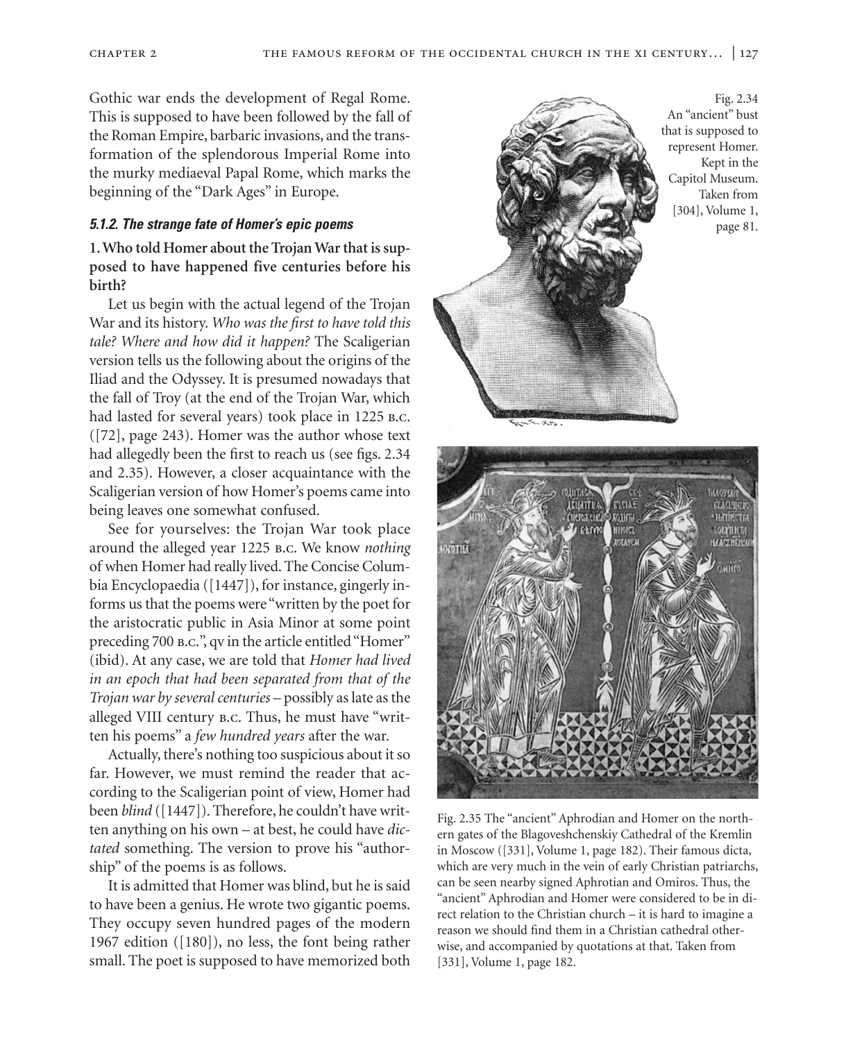Gothic war ends the development of Regal Rome. This is supposed to have been followed by the fall of the Roman Empire, barbaric invasions, and the transformation of the splendorous Imperial Rome into the murky mediaeval Papal Rome, which marks the beginning of the "Dark Ages" in Europe.

#### *5.1.2. The strange fate of Homer's epic poems*

**1. Who told Homer about the Trojan War that is supposed to have happened five centuries before his birth?**

Let us begin with the actual legend of the Trojan War and its history. *Who was the first to have told this tale? Where and how did it happen?* The Scaligerian version tells us the following about the origins of the Iliad and the Odyssey. It is presumed nowadays that the fall of Troy (at the end of the Trojan War, which had lasted for several years) took place in 1225 b.c. ([72], page 243). Homer was the author whose text had allegedly been the first to reach us (see figs. 2.34 and 2.35). However, a closer acquaintance with the Scaligerian version of how Homer's poems came into being leaves one somewhat confused.

See for yourselves: the Trojan War took place around the alleged year 1225 b.c. We know *nothing* of when Homer had really lived. The Concise Columbia Encyclopaedia ([1447]), for instance, gingerly informs us that the poems were "written by the poet for the aristocratic public in Asia Minor at some point preceding 700 b.c.", qv in the article entitled "Homer" (ibid). At any case, we are told that *Homer had lived in an epoch that had been separated from that of the Trojan war by several centuries* – possibly as late as the alleged VIII century b.c. Thus, he must have "written his poems" a *few hundred years* after the war.

Actually, there's nothing too suspicious about it so far. However, we must remind the reader that according to the Scaligerian point of view, Homer had been *blind* ([1447]). Therefore, he couldn't have written anything on his own – at best, he could have *dictated* something. The version to prove his "authorship" of the poems is as follows.

It is admitted that Homer was blind, but he is said to have been a genius. He wrote two gigantic poems. They occupy seven hundred pages of the modern 1967 edition ([180]), no less, the font being rather small. The poet is supposed to have memorized both



Fig. 2.35 The "ancient" Aphrodian and Homer on the northern gates of the Blagoveshchenskiy Cathedral of the Kremlin in Moscow ([331], Volume 1, page 182). Their famous dicta, which are very much in the vein of early Christian patriarchs, can be seen nearby signed Aphrotian and Omiros. Thus, the "ancient" Aphrodian and Homer were considered to be in direct relation to the Christian church – it is hard to imagine a reason we should find them in a Christian cathedral otherwise, and accompanied by quotations at that. Taken from [331], Volume 1, page 182.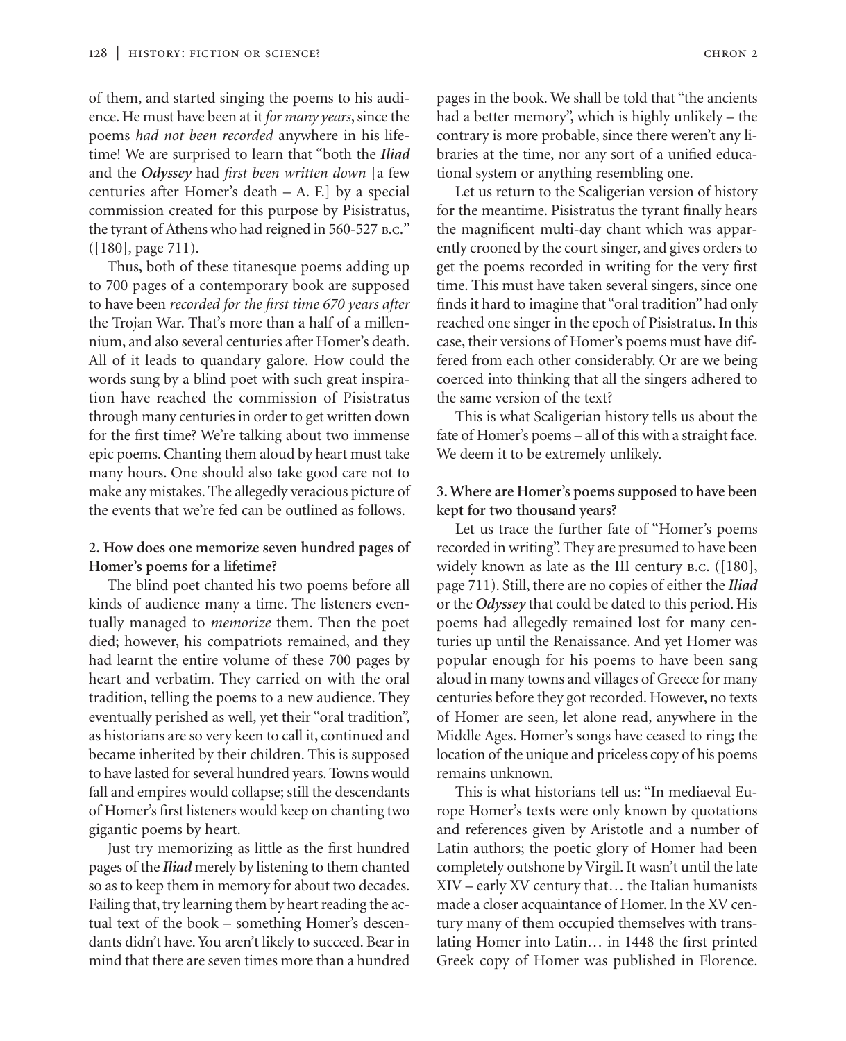of them, and started singing the poems to his audience. He must have been at it *for many years*, since the poems *had not been recorded* anywhere in his lifetime! We are surprised to learn that "both the *Iliad* and the *Odyssey* had *first been written down* [a few centuries after Homer's death  $- A$ . F.] by a special commission created for this purpose by Pisistratus, the tyrant of Athens who had reigned in 560-527 b.c." ([180], page 711).

Thus, both of these titanesque poems adding up to 700 pages of a contemporary book are supposed to have been *recorded for the first time 670 years after* the Trojan War. That's more than a half of a millennium, and also several centuries after Homer's death. All of it leads to quandary galore. How could the words sung by a blind poet with such great inspiration have reached the commission of Pisistratus through many centuries in order to get written down for the first time? We're talking about two immense epic poems. Chanting them aloud by heart must take many hours. One should also take good care not to make any mistakes. The allegedly veracious picture of the events that we're fed can be outlined as follows.

## **2. How does one memorize seven hundred pages of Homer's poems for a lifetime?**

The blind poet chanted his two poems before all kinds of audience many a time. The listeners eventually managed to *memorize* them. Then the poet died; however, his compatriots remained, and they had learnt the entire volume of these 700 pages by heart and verbatim. They carried on with the oral tradition, telling the poems to a new audience. They eventually perished as well, yet their "oral tradition", as historians are so very keen to call it, continued and became inherited by their children. This is supposed to have lasted for several hundred years. Towns would fall and empires would collapse; still the descendants of Homer's first listeners would keep on chanting two gigantic poems by heart.

Just try memorizing as little as the first hundred pages of the *Iliad* merely by listening to them chanted so as to keep them in memory for about two decades. Failing that, try learning them by heart reading the actual text of the book – something Homer's descendants didn't have. You aren't likely to succeed. Bear in mind that there are seven times more than a hundred

Let us return to the Scaligerian version of history for the meantime. Pisistratus the tyrant finally hears the magnificent multi-day chant which was apparently crooned by the court singer, and gives orders to get the poems recorded in writing for the very first time. This must have taken several singers, since one finds it hard to imagine that "oral tradition" had only reached one singer in the epoch of Pisistratus. In this case, their versions of Homer's poems must have differed from each other considerably. Or are we being coerced into thinking that all the singers adhered to the same version of the text?

This is what Scaligerian history tells us about the fate of Homer's poems – all of this with a straight face. We deem it to be extremely unlikely.

### **3. Where are Homer's poems supposed to have been kept for two thousand years?**

Let us trace the further fate of "Homer's poems recorded in writing". They are presumed to have been widely known as late as the III century *B.C.* ([180], page 711). Still, there are no copies of either the *Iliad* or the *Odyssey* that could be dated to this period. His poems had allegedly remained lost for many centuries up until the Renaissance. And yet Homer was popular enough for his poems to have been sang aloud in many towns and villages of Greece for many centuries before they got recorded. However, no texts of Homer are seen, let alone read, anywhere in the Middle Ages. Homer's songs have ceased to ring; the location of the unique and priceless copy of his poems remains unknown.

This is what historians tell us: "In mediaeval Europe Homer's texts were only known by quotations and references given by Aristotle and a number of Latin authors; the poetic glory of Homer had been completely outshone by Virgil. It wasn't until the late XIV – early XV century that… the Italian humanists made a closer acquaintance of Homer. In the XV century many of them occupied themselves with translating Homer into Latin… in 1448 the first printed Greek copy of Homer was published in Florence.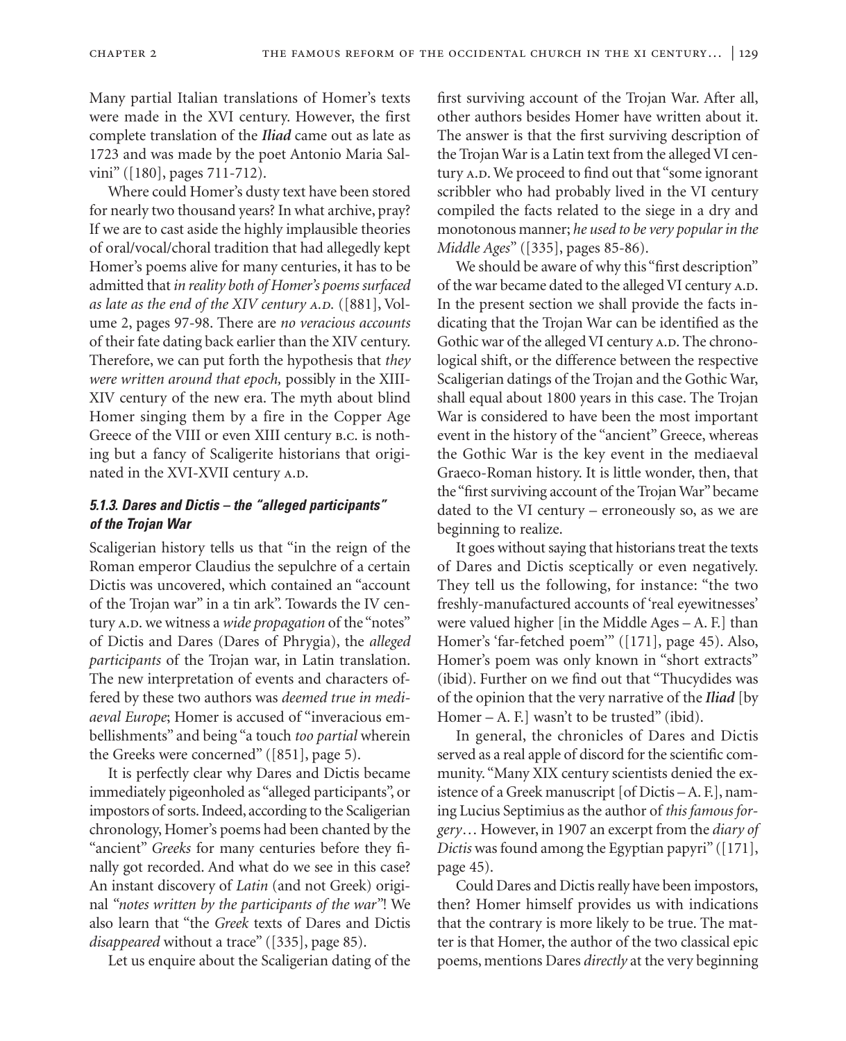Many partial Italian translations of Homer's texts were made in the XVI century. However, the first complete translation of the *Iliad* came out as late as 1723 and was made by the poet Antonio Maria Salvini" ([180], pages 711-712).

Where could Homer's dusty text have been stored for nearly two thousand years? In what archive, pray? If we are to cast aside the highly implausible theories of oral/vocal/choral tradition that had allegedly kept Homer's poems alive for many centuries, it has to be admitted that *in reality both of Homer's poems surfaced as late as the end of the XIV century A.D.* ([881], Volume 2, pages 97-98. There are *no veracious accounts* of their fate dating back earlier than the XIV century. Therefore, we can put forth the hypothesis that *they were written around that epoch,* possibly in the XIII-XIV century of the new era. The myth about blind Homer singing them by a fire in the Copper Age Greece of the VIII or even XIII century b.c. is nothing but a fancy of Scaligerite historians that originated in the XVI-XVII century A.D.

### *5.1.3. Dares and Dictis – the "alleged participants" of the Trojan War*

Scaligerian history tells us that "in the reign of the Roman emperor Claudius the sepulchre of a certain Dictis was uncovered, which contained an "account of the Trojan war" in a tin ark". Towards the IV century A.D. we witness a *wide propagation* of the "notes" of Dictis and Dares (Dares of Phrygia), the *alleged participants* of the Trojan war, in Latin translation. The new interpretation of events and characters offered by these two authors was *deemed true in mediaeval Europe*; Homer is accused of "inveracious embellishments" and being "a touch *too partial* wherein the Greeks were concerned" ([851], page 5).

It is perfectly clear why Dares and Dictis became immediately pigeonholed as "alleged participants", or impostors of sorts. Indeed, according to the Scaligerian chronology, Homer's poems had been chanted by the "ancient" *Greeks* for many centuries before they finally got recorded. And what do we see in this case? An instant discovery of *Latin* (and not Greek) original *"notes written by the participants of the war"*! We also learn that "the *Greek* texts of Dares and Dictis *disappeared* without a trace" ([335], page 85).

Let us enquire about the Scaligerian dating of the

first surviving account of the Trojan War. After all, other authors besides Homer have written about it. The answer is that the first surviving description of the Trojan War is a Latin text from the alleged VI century A.D. We proceed to find out that "some ignorant scribbler who had probably lived in the VI century compiled the facts related to the siege in a dry and monotonous manner; *he used to be very popular in the Middle Ages*" ([335], pages 85-86).

We should be aware of why this "first description" of the war became dated to the alleged VI century A.D. In the present section we shall provide the facts indicating that the Trojan War can be identified as the Gothic war of the alleged VI century A.D. The chronological shift, or the difference between the respective Scaligerian datings of the Trojan and the Gothic War, shall equal about 1800 years in this case. The Trojan War is considered to have been the most important event in the history of the "ancient" Greece, whereas the Gothic War is the key event in the mediaeval Graeco-Roman history. It is little wonder, then, that the "first surviving account of the Trojan War"became dated to the VI century – erroneously so, as we are beginning to realize.

It goes without saying that historians treat the texts of Dares and Dictis sceptically or even negatively. They tell us the following, for instance: "the two freshly-manufactured accounts of 'real eyewitnesses' were valued higher [in the Middle Ages – A. F.] than Homer's 'far-fetched poem'" ([171], page 45). Also, Homer's poem was only known in "short extracts" (ibid). Further on we find out that "Thucydides was of the opinion that the very narrative of the *Iliad* [by Homer  $- A$ . F.] wasn't to be trusted" (ibid).

In general, the chronicles of Dares and Dictis served as a real apple of discord for the scientific community. "Many XIX century scientists denied the existence of a Greek manuscript [of Dictis – A. F.], naming Lucius Septimius as the author of *this famous forgery*… However, in 1907 an excerpt from the *diary of Dictis* was found among the Egyptian papyri" ([171], page 45).

Could Dares and Dictis really have been impostors, then? Homer himself provides us with indications that the contrary is more likely to be true. The matter is that Homer, the author of the two classical epic poems, mentions Dares *directly* at the very beginning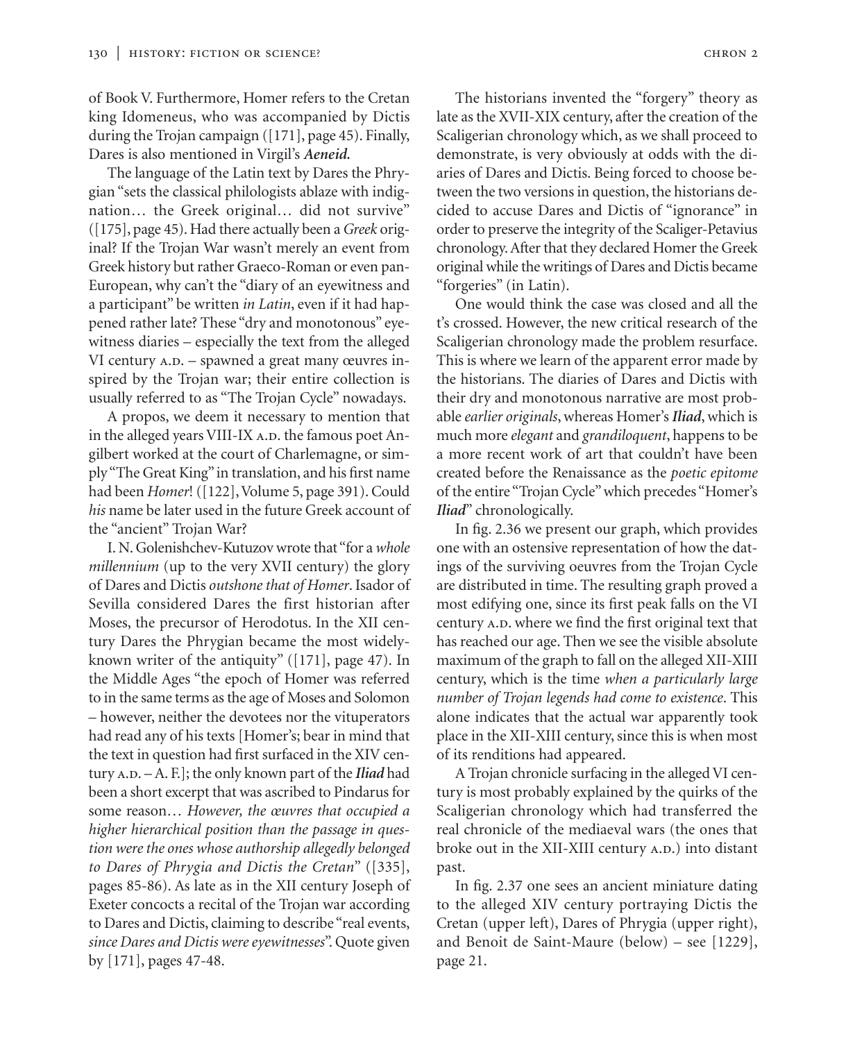of Book V. Furthermore, Homer refers to the Cretan king Idomeneus, who was accompanied by Dictis during the Trojan campaign ([171], page 45). Finally, Dares is also mentioned in Virgil's *Aeneid.*

The language of the Latin text by Dares the Phrygian "sets the classical philologists ablaze with indignation… the Greek original… did not survive" ([175], page 45). Had there actually been a *Greek* original? If the Trojan War wasn't merely an event from Greek history but rather Graeco-Roman or even pan-European, why can't the "diary of an eyewitness and a participant" be written *in Latin*, even if it had happened rather late? These "dry and monotonous" eyewitness diaries – especially the text from the alleged VI century A.D. – spawned a great many œuvres inspired by the Trojan war; their entire collection is usually referred to as "The Trojan Cycle" nowadays.

A propos, we deem it necessary to mention that in the alleged years VIII-IX A.D. the famous poet Angilbert worked at the court of Charlemagne, or simply "The Great King" in translation, and his first name had been *Homer*! ([122], Volume 5, page 391). Could *his* name be later used in the future Greek account of the "ancient" Trojan War?

I. N. Golenishchev-Kutuzov wrote that "for a *whole millennium* (up to the very XVII century) the glory of Dares and Dictis *outshone that of Homer*. Isador of Sevilla considered Dares the first historian after Moses, the precursor of Herodotus. In the XII century Dares the Phrygian became the most widelyknown writer of the antiquity" ([171], page 47). In the Middle Ages "the epoch of Homer was referred to in the same terms as the age of Moses and Solomon – however, neither the devotees nor the vituperators had read any of his texts [Homer's; bear in mind that the text in question had first surfaced in the XIV century A.D. – A. F.]; the only known part of the *Iliad* had been a short excerpt that was ascribed to Pindarus for some reason… *However, the œuvres that occupied a higher hierarchical position than the passage in question were the ones whose authorship allegedly belonged to Dares of Phrygia and Dictis the Cretan*" ([335], pages 85-86). As late as in the XII century Joseph of Exeter concocts a recital of the Trojan war according to Dares and Dictis, claiming to describe "real events, *since Dares and Dictis were eyewitnesses*". Quote given by [171], pages 47-48.

The historians invented the "forgery" theory as late as the XVII-XIX century, after the creation of the Scaligerian chronology which, as we shall proceed to demonstrate, is very obviously at odds with the diaries of Dares and Dictis. Being forced to choose between the two versions in question, the historians decided to accuse Dares and Dictis of "ignorance" in order to preserve the integrity of the Scaliger-Petavius chronology. After that they declared Homer the Greek original while the writings of Dares and Dictis became "forgeries" (in Latin).

One would think the case was closed and all the t's crossed. However, the new critical research of the Scaligerian chronology made the problem resurface. This is where we learn of the apparent error made by the historians. The diaries of Dares and Dictis with their dry and monotonous narrative are most probable *earlier originals*, whereas Homer's *Iliad*, which is much more *elegant* and *grandiloquent*, happens to be a more recent work of art that couldn't have been created before the Renaissance as the *poetic epitome* of the entire "Trojan Cycle" which precedes "Homer's *Iliad*" chronologically.

In fig. 2.36 we present our graph, which provides one with an ostensive representation of how the datings of the surviving oeuvres from the Trojan Cycle are distributed in time. The resulting graph proved a most edifying one, since its first peak falls on the VI century A.D. where we find the first original text that has reached our age. Then we see the visible absolute maximum of the graph to fall on the alleged XII-XIII century, which is the time *when a particularly large number of Trojan legends had come to existence*. This alone indicates that the actual war apparently took place in the XII-XIII century, since this is when most of its renditions had appeared.

A Trojan chronicle surfacing in the alleged VI century is most probably explained by the quirks of the Scaligerian chronology which had transferred the real chronicle of the mediaeval wars (the ones that broke out in the XII-XIII century A.D.) into distant past.

In fig. 2.37 one sees an ancient miniature dating to the alleged XIV century portraying Dictis the Cretan (upper left), Dares of Phrygia (upper right), and Benoit de Saint-Maure (below) – see [1229], page 21.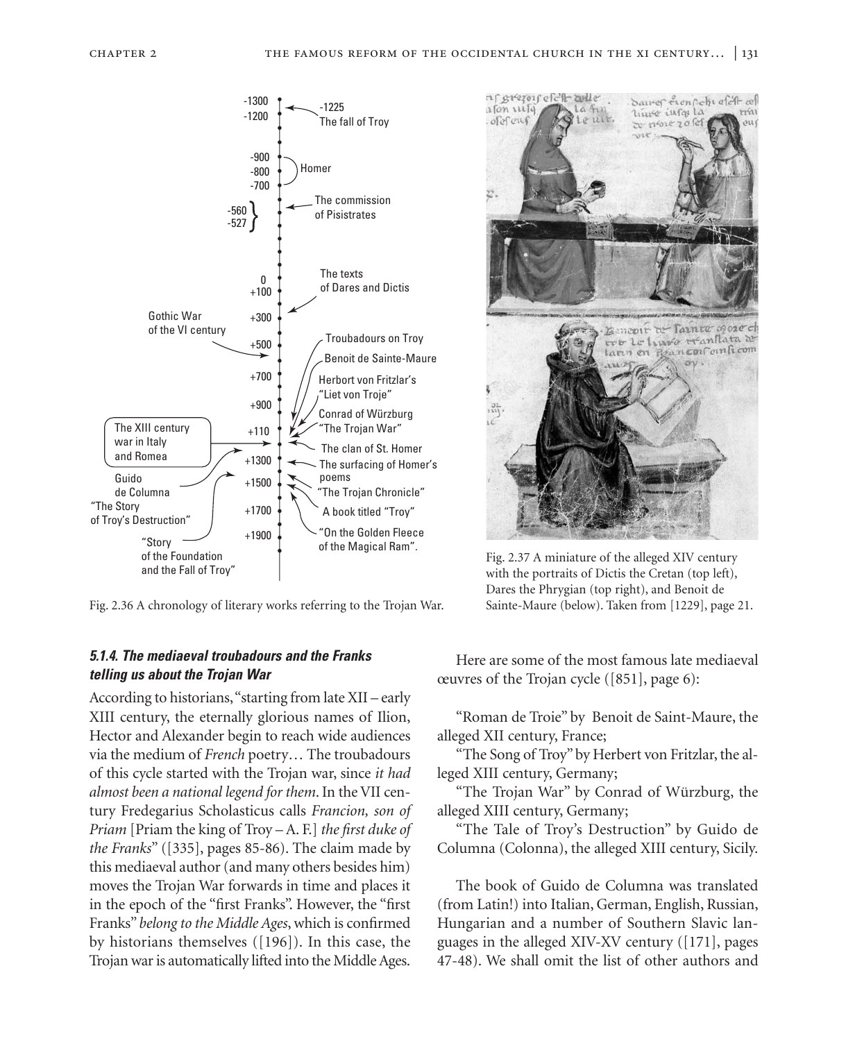![](_page_27_Figure_2.jpeg)

Fig. 2.36 A chronology of literary works referring to the Trojan War.

### *5.1.4. The mediaeval troubadours and the Franks telling us about the Trojan War*

According to historians,"starting from late XII – early XIII century, the eternally glorious names of Ilion, Hector and Alexander begin to reach wide audiences via the medium of *French* poetry… The troubadours of this cycle started with the Trojan war, since *it had almost been a national legend for them*. In the VII century Fredegarius Scholasticus calls *Francion, son of Priam* [Priam the king of Troy – A. F.] *the first duke of the Franks*" ([335], pages 85-86). The claim made by this mediaeval author (and many others besides him) moves the Trojan War forwards in time and places it in the epoch of the "first Franks". However, the "first Franks" *belong to the Middle Ages*, which is confirmed by historians themselves ([196]). In this case, the Trojan war is automatically lifted into the Middle Ages.

![](_page_27_Picture_6.jpeg)

Fig. 2.37 A miniature of the alleged XIV century with the portraits of Dictis the Cretan (top left), Dares the Phrygian (top right), and Benoit de Sainte-Maure (below). Taken from [1229], page 21.

Here are some of the most famous late mediaeval œuvres of the Trojan cycle ([851], page 6):

"Roman de Troie" by Benoit de Saint-Maure, the alleged XII century, France;

"The Song of Troy" by Herbert von Fritzlar, the alleged XIII century, Germany;

"The Trojan War" by Conrad of Würzburg, the alleged XIII century, Germany;

"The Tale of Troy's Destruction" by Guido de Columna (Colonna), the alleged XIII century, Sicily.

The book of Guido de Columna was translated (from Latin!) into Italian, German, English, Russian, Hungarian and a number of Southern Slavic languages in the alleged XIV-XV century ([171], pages 47-48). We shall omit the list of other authors and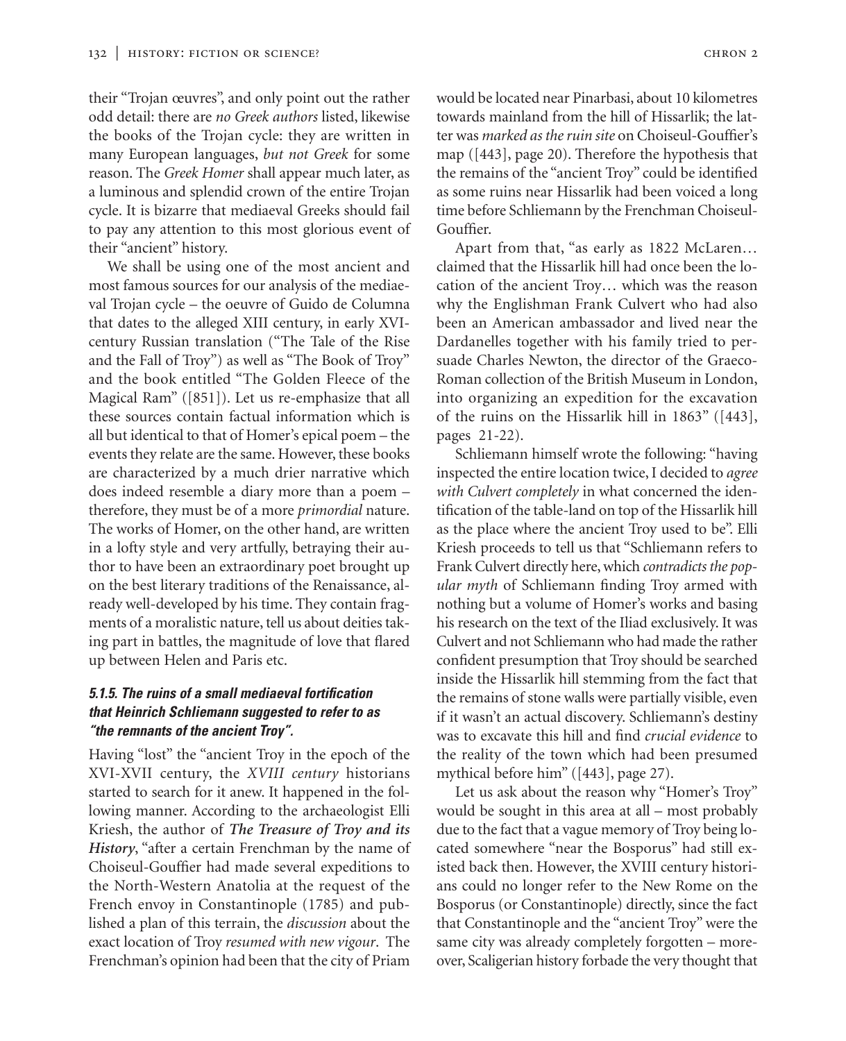their "Trojan œuvres", and only point out the rather odd detail: there are *no Greek authors* listed, likewise the books of the Trojan cycle: they are written in many European languages, *but not Greek* for some reason. The *Greek Homer* shall appear much later, as a luminous and splendid crown of the entire Trojan cycle. It is bizarre that mediaeval Greeks should fail to pay any attention to this most glorious event of their "ancient" history.

We shall be using one of the most ancient and most famous sources for our analysis of the mediaeval Trojan cycle – the oeuvre of Guido de Columna that dates to the alleged XIII century, in early XVIcentury Russian translation ("The Tale of the Rise and the Fall of Troy") as well as "The Book of Troy" and the book entitled "The Golden Fleece of the Magical Ram" ([851]). Let us re-emphasize that all these sources contain factual information which is all but identical to that of Homer's epical poem – the events they relate are the same. However, these books are characterized by a much drier narrative which does indeed resemble a diary more than a poem – therefore, they must be of a more *primordial* nature. The works of Homer, on the other hand, are written in a lofty style and very artfully, betraying their author to have been an extraordinary poet brought up on the best literary traditions of the Renaissance, already well-developed by his time. They contain fragments of a moralistic nature, tell us about deities taking part in battles, the magnitude of love that flared up between Helen and Paris etc.

### *5.1.5. The ruins of a small mediaeval fortification that Heinrich Schliemann suggested to refer to as "the remnants of the ancient Troy".*

Having "lost" the "ancient Troy in the epoch of the XVI-XVII century, the *XVIII century* historians started to search for it anew. It happened in the following manner. According to the archaeologist Elli Kriesh, the author of *The Treasure of Troy and its History*, "after a certain Frenchman by the name of Choiseul-Gouffier had made several expeditions to the North-Western Anatolia at the request of the French envoy in Constantinople (1785) and published a plan of this terrain, the *discussion* about the exact location of Troy *resumed with new vigour*. The Frenchman's opinion had been that the city of Priam would be located near Pinarbasi, about 10 kilometres towards mainland from the hill of Hissarlik; the latter was *marked as the ruin site* on Choiseul-Gouffier's map ([443], page 20). Therefore the hypothesis that the remains of the "ancient Troy" could be identified as some ruins near Hissarlik had been voiced a long time before Schliemann by the Frenchman Choiseul-Gouffier.

Apart from that, "as early as 1822 McLaren… claimed that the Hissarlik hill had once been the location of the ancient Troy… which was the reason why the Englishman Frank Culvert who had also been an American ambassador and lived near the Dardanelles together with his family tried to persuade Charles Newton, the director of the Graeco-Roman collection of the British Museum in London, into organizing an expedition for the excavation of the ruins on the Hissarlik hill in 1863" ([443], pages 21-22).

Schliemann himself wrote the following: "having inspected the entire location twice, I decided to *agree with Culvert completely* in what concerned the identification of the table-land on top of the Hissarlik hill as the place where the ancient Troy used to be". Elli Kriesh proceeds to tell us that "Schliemann refers to Frank Culvert directly here, which *contradicts the popular myth* of Schliemann finding Troy armed with nothing but a volume of Homer's works and basing his research on the text of the Iliad exclusively. It was Culvert and not Schliemann who had made the rather confident presumption that Troy should be searched inside the Hissarlik hill stemming from the fact that the remains of stone walls were partially visible, even if it wasn't an actual discovery. Schliemann's destiny was to excavate this hill and find *crucial evidence* to the reality of the town which had been presumed mythical before him" ([443], page 27).

Let us ask about the reason why "Homer's Troy" would be sought in this area at all – most probably due to the fact that a vague memory of Troy being located somewhere "near the Bosporus" had still existed back then. However, the XVIII century historians could no longer refer to the New Rome on the Bosporus (or Constantinople) directly, since the fact that Constantinople and the "ancient Troy" were the same city was already completely forgotten – moreover, Scaligerian history forbade the very thought that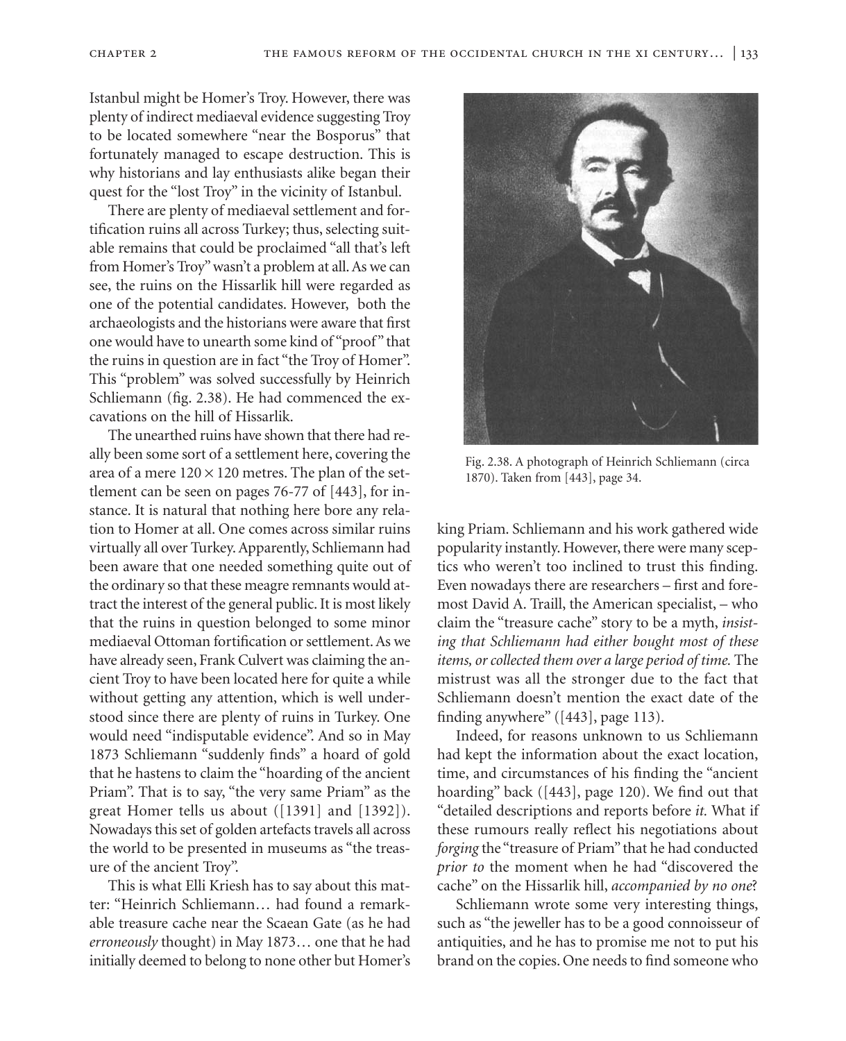Istanbul might be Homer's Troy. However, there was plenty of indirect mediaeval evidence suggesting Troy to be located somewhere "near the Bosporus" that fortunately managed to escape destruction. This is why historians and lay enthusiasts alike began their quest for the "lost Troy" in the vicinity of Istanbul.

There are plenty of mediaeval settlement and fortification ruins all across Turkey; thus, selecting suitable remains that could be proclaimed "all that's left from Homer's Troy" wasn't a problem at all. As we can see, the ruins on the Hissarlik hill were regarded as one of the potential candidates. However, both the archaeologists and the historians were aware that first one would have to unearth some kind of "proof" that the ruins in question are in fact "the Troy of Homer". This "problem" was solved successfully by Heinrich Schliemann (fig. 2.38). He had commenced the excavations on the hill of Hissarlik.

The unearthed ruins have shown that there had really been some sort of a settlement here, covering the area of a mere  $120 \times 120$  metres. The plan of the settlement can be seen on pages 76-77 of [443], for instance. It is natural that nothing here bore any relation to Homer at all. One comes across similar ruins virtually all over Turkey. Apparently, Schliemann had been aware that one needed something quite out of the ordinary so that these meagre remnants would attract the interest of the general public. It is most likely that the ruins in question belonged to some minor mediaeval Ottoman fortification or settlement. As we have already seen, Frank Culvert was claiming the ancient Troy to have been located here for quite a while without getting any attention, which is well understood since there are plenty of ruins in Turkey. One would need "indisputable evidence". And so in May 1873 Schliemann "suddenly finds" a hoard of gold that he hastens to claim the "hoarding of the ancient Priam". That is to say, "the very same Priam" as the great Homer tells us about ([1391] and [1392]). Nowadays this set of golden artefacts travels all across the world to be presented in museums as "the treasure of the ancient Troy".

This is what Elli Kriesh has to say about this matter: "Heinrich Schliemann… had found a remarkable treasure cache near the Scaean Gate (as he had *erroneously* thought) in May 1873… one that he had initially deemed to belong to none other but Homer's

![](_page_29_Picture_6.jpeg)

Fig. 2.38. A photograph of Heinrich Schliemann (circa 1870). Taken from [443], page 34.

king Priam. Schliemann and his work gathered wide popularity instantly. However, there were many sceptics who weren't too inclined to trust this finding. Even nowadays there are researchers – first and foremost David A. Traill, the American specialist, – who claim the "treasure cache" story to be a myth, *insisting that Schliemann had either bought most of these items, or collected them over a large period of time.* The mistrust was all the stronger due to the fact that Schliemann doesn't mention the exact date of the finding anywhere" ([443], page 113).

Indeed, for reasons unknown to us Schliemann had kept the information about the exact location, time, and circumstances of his finding the "ancient hoarding" back ([443], page 120). We find out that "detailed descriptions and reports before *it.* What if these rumours really reflect his negotiations about *forging* the "treasure of Priam" that he had conducted *prior to* the moment when he had "discovered the cache" on the Hissarlik hill, *accompanied by no one*?

Schliemann wrote some very interesting things, such as "the jeweller has to be a good connoisseur of antiquities, and he has to promise me not to put his brand on the copies. One needs to find someone who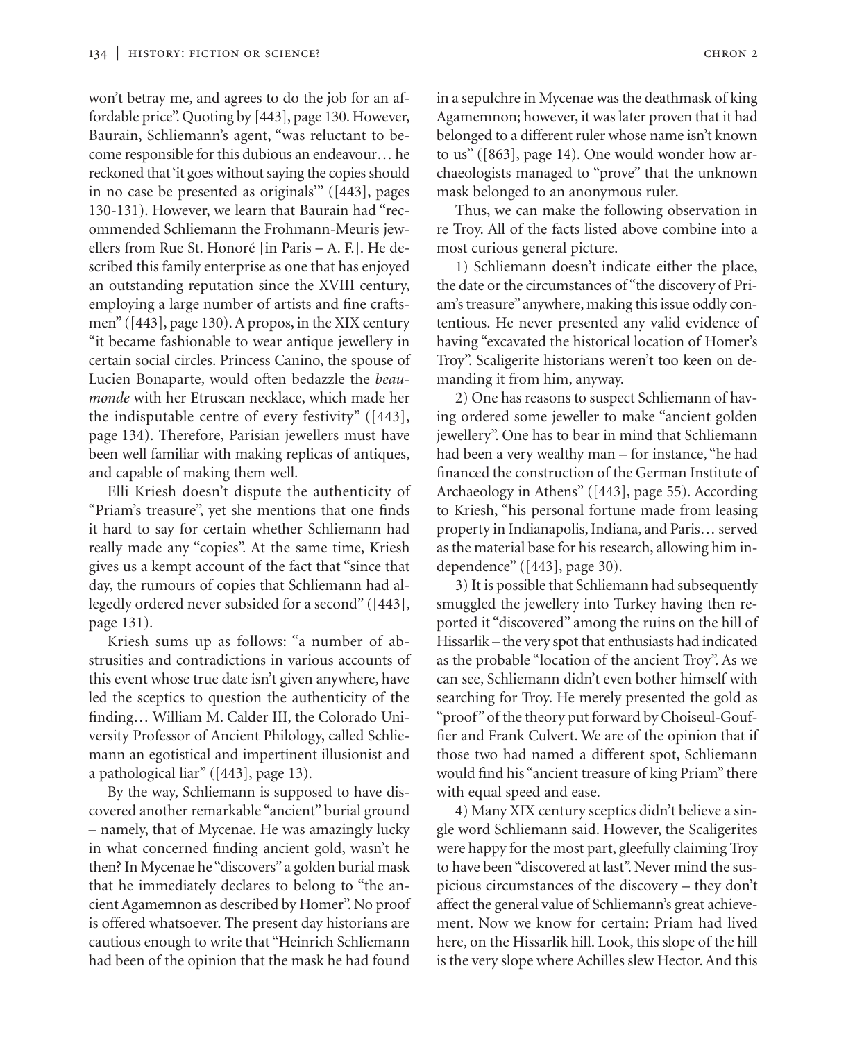won't betray me, and agrees to do the job for an affordable price". Quoting by [443], page 130. However, Baurain, Schliemann's agent, "was reluctant to become responsible for this dubious an endeavour… he reckoned that 'it goes without saying the copies should in no case be presented as originals'" ([443], pages 130-131). However, we learn that Baurain had "recommended Schliemann the Frohmann-Meuris jewellers from Rue St. Honoré [in Paris – A. F.]. He described this family enterprise as one that has enjoyed an outstanding reputation since the XVIII century, employing a large number of artists and fine craftsmen" ([443], page 130). A propos, in the XIX century "it became fashionable to wear antique jewellery in certain social circles. Princess Canino, the spouse of Lucien Bonaparte, would often bedazzle the *beaumonde* with her Etruscan necklace, which made her the indisputable centre of every festivity" ([443], page 134). Therefore, Parisian jewellers must have been well familiar with making replicas of antiques, and capable of making them well.

Elli Kriesh doesn't dispute the authenticity of "Priam's treasure", yet she mentions that one finds it hard to say for certain whether Schliemann had really made any "copies". At the same time, Kriesh gives us a kempt account of the fact that "since that day, the rumours of copies that Schliemann had allegedly ordered never subsided for a second" ([443], page 131).

Kriesh sums up as follows: "a number of abstrusities and contradictions in various accounts of this event whose true date isn't given anywhere, have led the sceptics to question the authenticity of the finding… William M. Calder III, the Colorado University Professor of Ancient Philology, called Schliemann an egotistical and impertinent illusionist and a pathological liar" ([443], page 13).

By the way, Schliemann is supposed to have discovered another remarkable "ancient" burial ground – namely, that of Mycenae. He was amazingly lucky in what concerned finding ancient gold, wasn't he then? In Mycenae he "discovers" a golden burial mask that he immediately declares to belong to "the ancient Agamemnon as described by Homer". No proof is offered whatsoever. The present day historians are cautious enough to write that "Heinrich Schliemann had been of the opinion that the mask he had found in a sepulchre in Mycenae was the deathmask of king Agamemnon; however, it was later proven that it had belonged to a different ruler whose name isn't known to us" ([863], page 14). One would wonder how archaeologists managed to "prove" that the unknown mask belonged to an anonymous ruler.

Thus, we can make the following observation in re Troy. All of the facts listed above combine into a most curious general picture.

1) Schliemann doesn't indicate either the place, the date or the circumstances of "the discovery of Priam's treasure" anywhere, making this issue oddly contentious. He never presented any valid evidence of having "excavated the historical location of Homer's Troy". Scaligerite historians weren't too keen on demanding it from him, anyway.

2) One has reasons to suspect Schliemann of having ordered some jeweller to make "ancient golden jewellery". One has to bear in mind that Schliemann had been a very wealthy man – for instance, "he had financed the construction of the German Institute of Archaeology in Athens" ([443], page 55). According to Kriesh, "his personal fortune made from leasing property in Indianapolis, Indiana, and Paris… served as the material base for his research, allowing him independence" ([443], page 30).

3) It is possible that Schliemann had subsequently smuggled the jewellery into Turkey having then reported it "discovered" among the ruins on the hill of Hissarlik – the very spot that enthusiasts had indicated as the probable "location of the ancient Troy". As we can see, Schliemann didn't even bother himself with searching for Troy. He merely presented the gold as "proof" of the theory put forward by Choiseul-Gouffier and Frank Culvert. We are of the opinion that if those two had named a different spot, Schliemann would find his "ancient treasure of king Priam" there with equal speed and ease.

4) Many XIX century sceptics didn't believe a single word Schliemann said. However, the Scaligerites were happy for the most part, gleefully claiming Troy to have been "discovered at last". Never mind the suspicious circumstances of the discovery – they don't affect the general value of Schliemann's great achievement. Now we know for certain: Priam had lived here, on the Hissarlik hill. Look, this slope of the hill is the very slope where Achilles slew Hector. And this